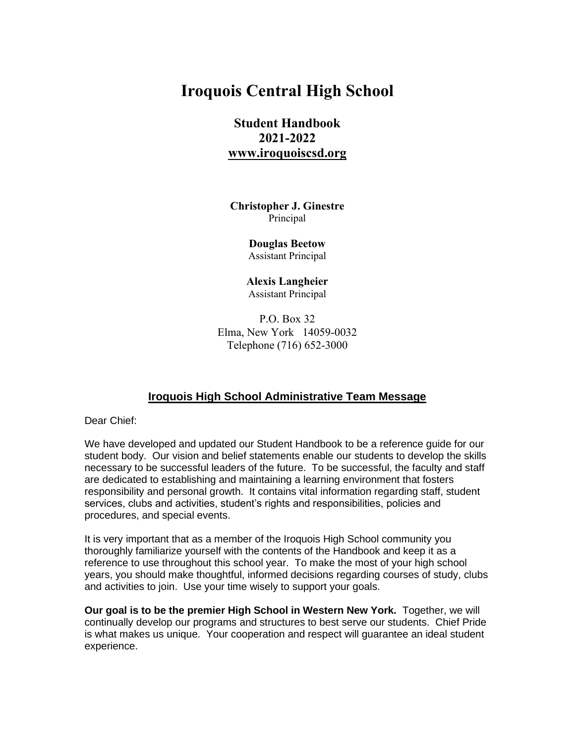# **Iroquois Central High School**

# **Student Handbook 2021-2022 [www.iroquoiscsd.org](http://www.iroquoiscsd.org/)**

**Christopher J. Ginestre** Principal

> **Douglas Beetow** Assistant Principal

**Alexis Langheier** Assistant Principal

P.O. Box 32 Elma, New York 14059-0032 Telephone (716) 652-3000

## **Iroquois High School Administrative Team Message**

Dear Chief:

We have developed and updated our Student Handbook to be a reference guide for our student body. Our vision and belief statements enable our students to develop the skills necessary to be successful leaders of the future. To be successful, the faculty and staff are dedicated to establishing and maintaining a learning environment that fosters responsibility and personal growth. It contains vital information regarding staff, student services, clubs and activities, student's rights and responsibilities, policies and procedures, and special events.

It is very important that as a member of the Iroquois High School community you thoroughly familiarize yourself with the contents of the Handbook and keep it as a reference to use throughout this school year. To make the most of your high school years, you should make thoughtful, informed decisions regarding courses of study, clubs and activities to join. Use your time wisely to support your goals.

**Our goal is to be the premier High School in Western New York.** Together, we will continually develop our programs and structures to best serve our students. Chief Pride is what makes us unique. Your cooperation and respect will guarantee an ideal student experience.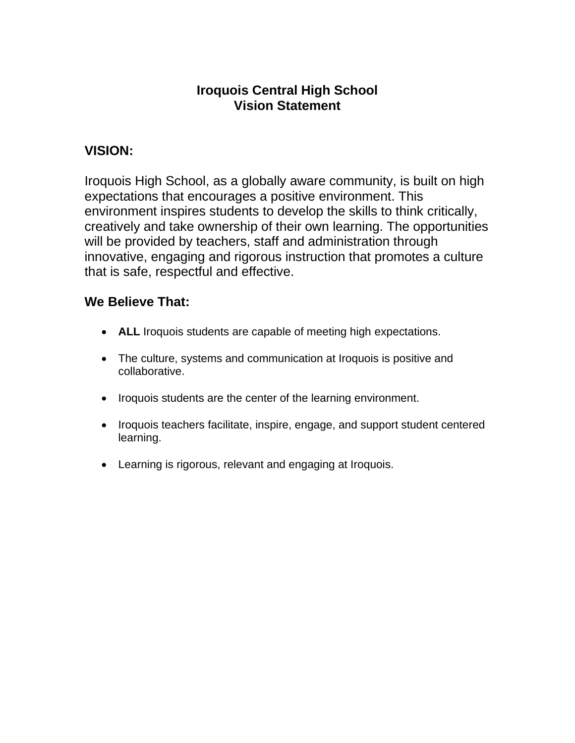# **Iroquois Central High School Vision Statement**

# **VISION:**

Iroquois High School, as a globally aware community, is built on high expectations that encourages a positive environment. This environment inspires students to develop the skills to think critically, creatively and take ownership of their own learning. The opportunities will be provided by teachers, staff and administration through innovative, engaging and rigorous instruction that promotes a culture that is safe, respectful and effective.

# **We Believe That:**

- **ALL** Iroquois students are capable of meeting high expectations.
- The culture, systems and communication at Iroquois is positive and collaborative.
- Iroquois students are the center of the learning environment.
- Iroquois teachers facilitate, inspire, engage, and support student centered learning.
- Learning is rigorous, relevant and engaging at Iroquois.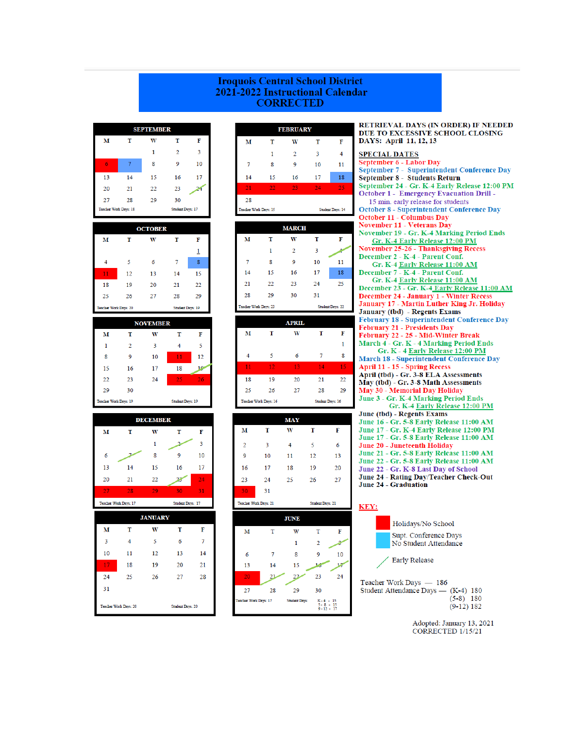#### **Iroquois Central School District** 2021-2022 Instructional Calendar **CORRECTED**

| <b>SEPTEMBER</b>                          |    |    |                |    |
|-------------------------------------------|----|----|----------------|----|
| м                                         | т  | W  | т              | F  |
|                                           |    | 1  | $\overline{2}$ | 3  |
| 6                                         | 7  | 8  | 9              | 10 |
| 13                                        | 14 | 15 | 16             | 17 |
| 20                                        | 21 | 22 | 23             |    |
| 27                                        | 28 | 29 | 30             |    |
| Teacher Work Days: 18<br>Student Days: 17 |    |    |                |    |

| <b>OCTOBER</b> |                                                  |    |    |    |
|----------------|--------------------------------------------------|----|----|----|
| M              | т                                                | w  | т  | F  |
|                |                                                  |    |    | 1  |
| 4              | 5                                                | 6  | 7  | 8  |
| 11             | 12                                               | 13 | 14 | 15 |
| 18             | 19                                               | 20 | 21 | 22 |
| 25             | 26                                               | 27 | 28 | 29 |
|                | Teacher Work Days: 20<br><b>Student Days: 19</b> |    |    |    |

| <b>NOVEMBER</b>                                  |              |    |    |    |
|--------------------------------------------------|--------------|----|----|----|
| м                                                | т            | w  | т  | F  |
| 1                                                | $\mathbf{2}$ | 3  | 4  | 5  |
| 8                                                | 9            | 10 | 11 | 12 |
| 15                                               | 16           | 17 | 18 | ı٥ |
| 22                                               | 23           | 24 | 25 | 26 |
| 29                                               | 30           |    |    |    |
| Teacher Work Days: 19<br><b>Student Days: 19</b> |              |    |    |    |

| <b>DECEMBER</b> |                       |    |                  |    |
|-----------------|-----------------------|----|------------------|----|
| м               | т                     | w  | T                | F  |
|                 |                       | 1  |                  | 3  |
| 6               |                       | 8  | 9                | 10 |
| 13              | 14                    | 15 | 16               | 17 |
| 20              | 21                    | 22 | 23               | 24 |
| 27              | 28                    | 29 | 30               | 31 |
|                 | Teacher Work Days: 17 |    | Student Days: 17 |    |
| <b>JANUARY</b>  |                       |    |                  |    |
|                 |                       |    |                  |    |
| M               | т                     | w  | т                | F  |
| 3               | 4                     | 5  | 6                | 7  |
| 10              | 11                    | 12 | 13               | 14 |
| 17              | 18                    | 19 | 20               | 21 |
| 24              | 25                    | 26 | 27               | 28 |
| 31              |                       |    |                  |    |

| <b>FEBRUARY</b>       |    |                |    |                  |
|-----------------------|----|----------------|----|------------------|
| м                     | т  | w              | T  | F                |
|                       | 1  | $\overline{2}$ | 3  | 4                |
| 7                     | 8  | 9              | 10 | 11               |
| 14                    | 15 | 16             | 17 | 18               |
| 21                    | 22 | 23             | 24 | 25               |
| 28                    |    |                |    |                  |
| Teacher Work Days: 15 |    |                |    | Student Days: 14 |

|    |                       | <b>MARCH</b>   |    |                         |
|----|-----------------------|----------------|----|-------------------------|
| м  | T                     | W              | т  | F                       |
|    | 1                     | $\overline{2}$ | 3  |                         |
| 7  | 8                     | 9              | 10 | 11                      |
| 14 | 15                    | 16             | 17 | 18                      |
| 21 | 22                    | 23             | 24 | 25                      |
| 28 | 29                    | 30             | 31 |                         |
|    | Teacher Work Days: 23 |                |    | <b>Student Days: 22</b> |

|                                                  |    | <b>APRIL</b> |    |    |
|--------------------------------------------------|----|--------------|----|----|
| м                                                | т  | w            | т  | F  |
|                                                  |    |              |    | 1  |
| 4                                                | 5  | 6            | 7  | 8  |
| 11                                               | 12 | 13           | 14 | 15 |
| 18                                               | 19 | 20           | 21 | 22 |
| 25                                               | 26 | 27           | 28 | 29 |
| Teacher Work Days: 16<br><b>Student Days: 16</b> |    |              |    |    |

| MAY                                              |    |    |    |    |  |
|--------------------------------------------------|----|----|----|----|--|
| м                                                | т  | w  | т  | F  |  |
| $\overline{2}$                                   | 3  | 4  | 5  | 6  |  |
| 9                                                | 10 | 11 | 12 | 13 |  |
| 16                                               | 17 | 18 | 19 | 20 |  |
| 23                                               | 24 | 25 | 26 | 27 |  |
| 30                                               | 31 |    |    |    |  |
| Teacher Work Days: 21<br><b>Student Days: 21</b> |    |    |    |    |  |
|                                                  |    |    |    |    |  |



DAYS: April 11, 12, 13 **SPECIAL DATES** September 6 - Labor Day<br>September 6 - Labor Day<br>September 7 - Superintendent Conference Day September 8 - Students Return September 24 - Gr. K-4 Early Release 12:00 PM **October 1 - Emergency Evacuation Drill -**15 min. early release for students **October 8 - Superintendent Conference Day** October 11 - Columbus Day **November 11 - Veterans Day** November 19 - Gr. K-4 Marking Period Ends Gr. K-4 Early Release 12:00 PM November 25-26 - Thanksgiving Recess<br>December 2 - K-4 - Parent Conf. Gr. K-4 Early Release 11:00 AM December 7 - K-4 - Parent Conf. Gr. K-4 Early Release 11:00 AM December 23 - Gr. K-4 Early Release 11:00 AM December 24 - January 1 - Winter Recess<br>January 17 - Martin Luther King Jr. Holiday January (tbd) - Regents Exams February 18 - Superintendent Conference Day **February 21 - Presidents Day** February 22 - 25 - Mid-Winter Break March 4 - Gr. K - 4 Marking Period Ends Gr. K - 4 Early Release 12:00 PM March 18 - Superintendent Conference Day April 11 - 15 - Spring Recess April (tbd) - Gr. 3-8 ELA Assessments  $\overline{May}$  (tbd) - Gr. 3-8 Math Assessments May 30 - Memorial Day Holiday June 3 - Gr. K-4 Marking Period Ends Gr. K-4 Early Release 12:00 PM June (tbd) - Regents Exams June 16 - Gr. 5-8 Early Release 11:00 AM June 17 - Gr. K-4 Early Release 12:00 PM June 17 - Gr. 5-8 Early Release 11:00 AM June 20 - Juneteenth Holiday June 21 - Gr. 5-8 Early Release 11:00 AM June 22 - Gr. 5-8 Early Release 11:00 AM June 22 - Gr. K-8 Last Day of School June 24 - Rating Day/Teacher Check-Out June 24 - Graduation KEY:

RETRIEVAL DAYS (IN ORDER) IF NEEDED DUE TO EXCESSIVE SCHOOL CLOSING



Student Attendance Days - (K-4) 180  $(5-8)$  180  $(9-12) 182$ 

> Adopted: January 13, 2021 CORRECTED 1/15/21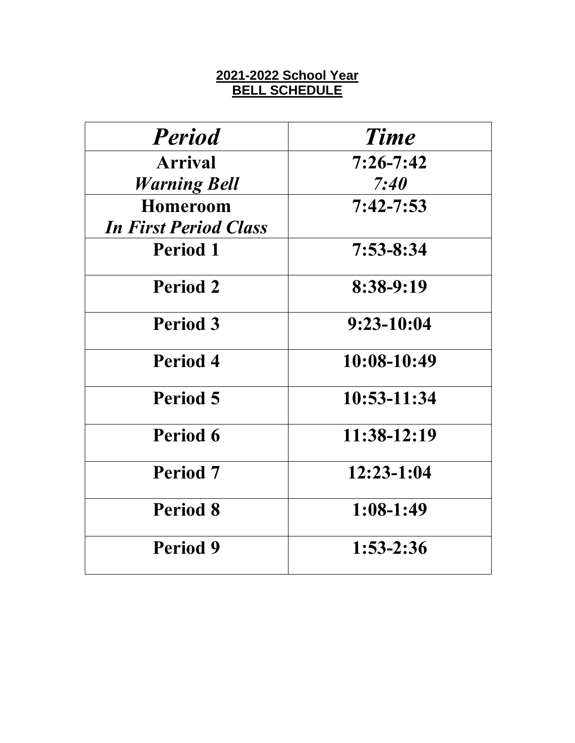# **2021-2022 School Year BELL SCHEDULE**

| <b>Period</b>                | <b>Time</b>     |
|------------------------------|-----------------|
| <b>Arrival</b>               | $7:26 - 7:42$   |
| <b>Warning Bell</b>          | 7:40            |
| <b>Homeroom</b>              | $7:42 - 7:53$   |
| <b>In First Period Class</b> |                 |
| <b>Period 1</b>              | 7:53-8:34       |
| <b>Period 2</b>              | $8:38-9:19$     |
| Period 3                     | $9:23-10:04$    |
| Period 4                     | $10:08-10:49$   |
| Period 5                     | $10:53 - 11:34$ |
| Period 6                     | $11:38-12:19$   |
| Period 7                     | $12:23-1:04$    |
| <b>Period 8</b>              | $1:08-1:49$     |
| Period 9                     | $1:53-2:36$     |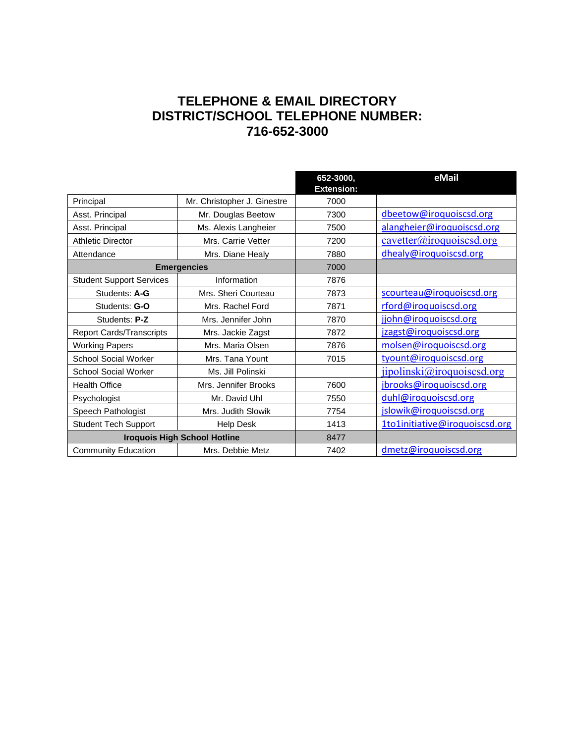# **TELEPHONE & EMAIL DIRECTORY DISTRICT/SCHOOL TELEPHONE NUMBER: 716-652-3000**

|                                 |                                     | 652-3000,<br><b>Extension:</b> | eMail                          |
|---------------------------------|-------------------------------------|--------------------------------|--------------------------------|
| Principal                       | Mr. Christopher J. Ginestre         | 7000                           |                                |
| Asst. Principal                 | Mr. Douglas Beetow                  | 7300                           | dbeetow@iroquoiscsd.org        |
| Asst. Principal                 | Ms. Alexis Langheier                | 7500                           | alangheier@iroquoiscsd.org     |
| <b>Athletic Director</b>        | Mrs. Carrie Vetter                  | 7200                           | cavetter@iroquoissed.org       |
| Attendance                      | Mrs. Diane Healy                    | 7880                           | dhealy@iroquoiscsd.org         |
|                                 | <b>Emergencies</b>                  | 7000                           |                                |
| <b>Student Support Services</b> | Information                         | 7876                           |                                |
| Students: A-G                   | Mrs. Sheri Courteau                 | 7873                           | scourteau@iroquoiscsd.org      |
| Students: G-O                   | Mrs. Rachel Ford                    | 7871                           | rford@iroquoiscsd.org          |
| Students: P-Z                   | Mrs. Jennifer John                  | 7870                           | jjohn@iroquoiscsd.org          |
| <b>Report Cards/Transcripts</b> | Mrs. Jackie Zagst                   | 7872                           | jzagst@iroquoiscsd.org         |
| <b>Working Papers</b>           | Mrs. Maria Olsen                    | 7876                           | molsen@iroquoiscsd.org         |
| <b>School Social Worker</b>     | Mrs. Tana Yount                     | 7015                           | tyount@iroquoiscsd.org         |
| <b>School Social Worker</b>     | Ms. Jill Polinski                   |                                | jipolinski@iroquo iscsd.org    |
| <b>Health Office</b>            | Mrs. Jennifer Brooks                | 7600                           | jbrooks@iroquoiscsd.org        |
| Psychologist                    | Mr. David Uhl                       | 7550                           | duhl@iroquoiscsd.org           |
| Speech Pathologist              | Mrs. Judith Slowik                  | 7754                           | jslowik@iroquoiscsd.org        |
| <b>Student Tech Support</b>     | <b>Help Desk</b>                    | 1413                           | 1to1initiative@iroquoiscsd.org |
|                                 | <b>Iroquois High School Hotline</b> | 8477                           |                                |
| <b>Community Education</b>      | Mrs. Debbie Metz                    | 7402                           | dmetz@iroquoiscsd.org          |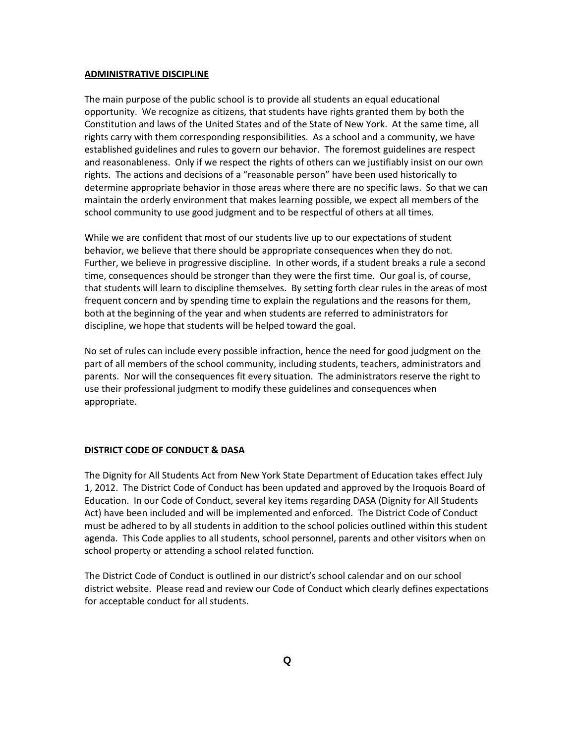#### **ADMINISTRATIVE DISCIPLINE**

The main purpose of the public school is to provide all students an equal educational opportunity. We recognize as citizens, that students have rights granted them by both the Constitution and laws of the United States and of the State of New York. At the same time, all rights carry with them corresponding responsibilities. As a school and a community, we have established guidelines and rules to govern our behavior. The foremost guidelines are respect and reasonableness. Only if we respect the rights of others can we justifiably insist on our own rights. The actions and decisions of a "reasonable person" have been used historically to determine appropriate behavior in those areas where there are no specific laws. So that we can maintain the orderly environment that makes learning possible, we expect all members of the school community to use good judgment and to be respectful of others at all times.

While we are confident that most of our students live up to our expectations of student behavior, we believe that there should be appropriate consequences when they do not. Further, we believe in progressive discipline. In other words, if a student breaks a rule a second time, consequences should be stronger than they were the first time. Our goal is, of course, that students will learn to discipline themselves. By setting forth clear rules in the areas of most frequent concern and by spending time to explain the regulations and the reasons for them, both at the beginning of the year and when students are referred to administrators for discipline, we hope that students will be helped toward the goal.

No set of rules can include every possible infraction, hence the need for good judgment on the part of all members of the school community, including students, teachers, administrators and parents. Nor will the consequences fit every situation. The administrators reserve the right to use their professional judgment to modify these guidelines and consequences when appropriate.

#### **DISTRICT CODE OF CONDUCT & DASA**

The Dignity for All Students Act from New York State Department of Education takes effect July 1, 2012. The District Code of Conduct has been updated and approved by the Iroquois Board of Education. In our Code of Conduct, several key items regarding DASA (Dignity for All Students Act) have been included and will be implemented and enforced. The District Code of Conduct must be adhered to by all students in addition to the school policies outlined within this student agenda. This Code applies to all students, school personnel, parents and other visitors when on school property or attending a school related function.

The District Code of Conduct is outlined in our district's school calendar and on our school district website. Please read and review our Code of Conduct which clearly defines expectations for acceptable conduct for all students.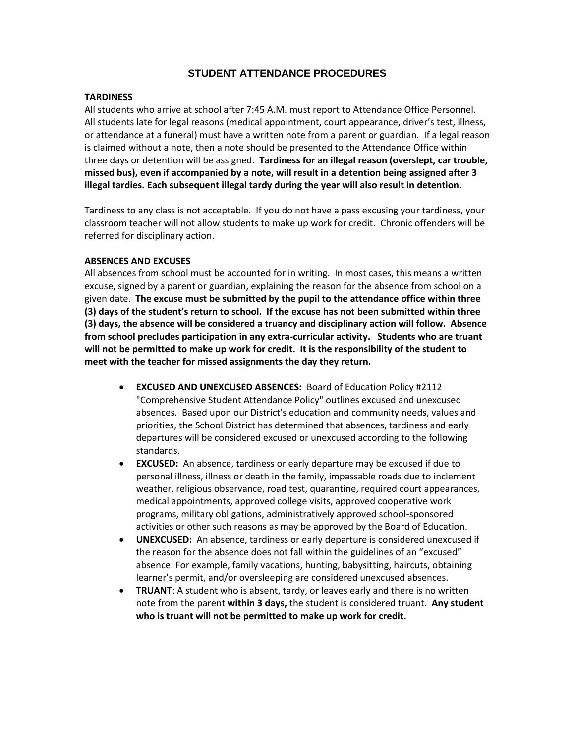## **STUDENT ATTENDANCE PROCEDURES**

#### **TARDINESS**

All students who arrive at school after 7:45 A.M. must report to Attendance Office Personnel. All students late for legal reasons (medical appointment, court appearance, driver's test, illness, or attendance at a funeral) must have a written note from a parent or guardian. If a legal reason is claimed without a note, then a note should be presented to the Attendance Office within three days or detention will be assigned. **Tardiness for an illegal reason (overslept, car trouble, missed bus), even if accompanied by a note, will result in a detention being assigned after 3 illegal tardies. Each subsequent illegal tardy during the year will also result in detention.**

Tardiness to any class is not acceptable. If you do not have a pass excusing your tardiness, your classroom teacher will not allow students to make up work for credit. Chronic offenders will be referred for disciplinary action.

#### **ABSENCES AND EXCUSES**

All absences from school must be accounted for in writing. In most cases, this means a written excuse, signed by a parent or guardian, explaining the reason for the absence from school on a given date. **The excuse must be submitted by the pupil to the attendance office within three (3) days of the student's return to school. If the excuse has not been submitted within three (3) days, the absence will be considered a truancy and disciplinary action will follow. Absence from school precludes participation in any extra-curricular activity. Students who are truant will not be permitted to make up work for credit. It is the responsibility of the student to meet with the teacher for missed assignments the day they return.** 

- **EXCUSED AND UNEXCUSED ABSENCES:** Board of Education Policy #2112 "Comprehensive Student Attendance Policy" outlines excused and unexcused absences. Based upon our District's education and community needs, values and priorities, the School District has determined that absences, tardiness and early departures will be considered excused or unexcused according to the following standards.
- **EXCUSED:** An absence, tardiness or early departure may be excused if due to personal illness, illness or death in the family, impassable roads due to inclement weather, religious observance, road test, quarantine, required court appearances, medical appointments, approved college visits, approved cooperative work programs, military obligations, administratively approved school-sponsored activities or other such reasons as may be approved by the Board of Education.
- **UNEXCUSED:** An absence, tardiness or early departure is considered unexcused if the reason for the absence does not fall within the guidelines of an "excused" absence. For example, family vacations, hunting, babysitting, haircuts, obtaining learner's permit, and/or oversleeping are considered unexcused absences.
- **TRUANT**: A student who is absent, tardy, or leaves early and there is no written note from the parent **within 3 days,** the student is considered truant. **Any student who is truant will not be permitted to make up work for credit.**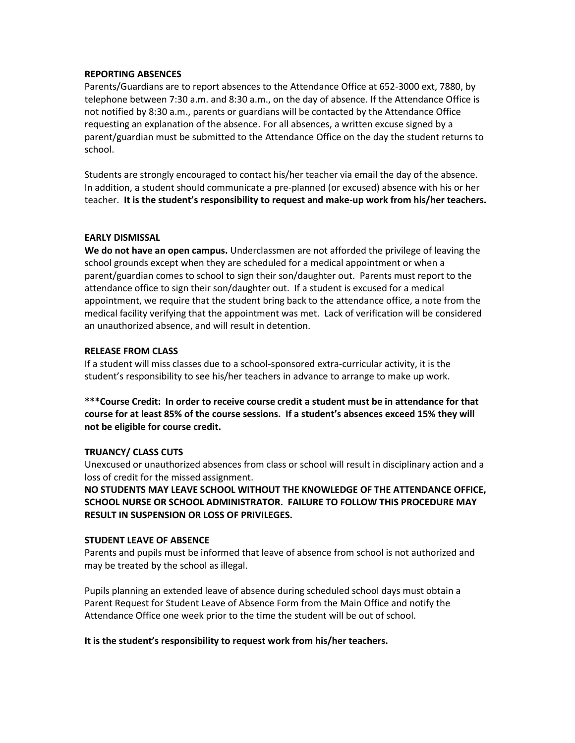#### **REPORTING ABSENCES**

Parents/Guardians are to report absences to the Attendance Office at 652-3000 ext, 7880, by telephone between 7:30 a.m. and 8:30 a.m., on the day of absence. If the Attendance Office is not notified by 8:30 a.m., parents or guardians will be contacted by the Attendance Office requesting an explanation of the absence. For all absences, a written excuse signed by a parent/guardian must be submitted to the Attendance Office on the day the student returns to school.

Students are strongly encouraged to contact his/her teacher via email the day of the absence. In addition, a student should communicate a pre-planned (or excused) absence with his or her teacher. **It is the student's responsibility to request and make-up work from his/her teachers.**

#### **EARLY DISMISSAL**

**We do not have an open campus.** Underclassmen are not afforded the privilege of leaving the school grounds except when they are scheduled for a medical appointment or when a parent/guardian comes to school to sign their son/daughter out. Parents must report to the attendance office to sign their son/daughter out. If a student is excused for a medical appointment, we require that the student bring back to the attendance office, a note from the medical facility verifying that the appointment was met. Lack of verification will be considered an unauthorized absence, and will result in detention.

#### **RELEASE FROM CLASS**

If a student will miss classes due to a school-sponsored extra-curricular activity, it is the student's responsibility to see his/her teachers in advance to arrange to make up work.

**\*\*\*Course Credit: In order to receive course credit a student must be in attendance for that course for at least 85% of the course sessions. If a student's absences exceed 15% they will not be eligible for course credit.** 

## **TRUANCY/ CLASS CUTS**

Unexcused or unauthorized absences from class or school will result in disciplinary action and a loss of credit for the missed assignment.

**NO STUDENTS MAY LEAVE SCHOOL WITHOUT THE KNOWLEDGE OF THE ATTENDANCE OFFICE, SCHOOL NURSE OR SCHOOL ADMINISTRATOR. FAILURE TO FOLLOW THIS PROCEDURE MAY RESULT IN SUSPENSION OR LOSS OF PRIVILEGES.**

#### **STUDENT LEAVE OF ABSENCE**

Parents and pupils must be informed that leave of absence from school is not authorized and may be treated by the school as illegal.

Pupils planning an extended leave of absence during scheduled school days must obtain a Parent Request for Student Leave of Absence Form from the Main Office and notify the Attendance Office one week prior to the time the student will be out of school.

## **It is the student's responsibility to request work from his/her teachers.**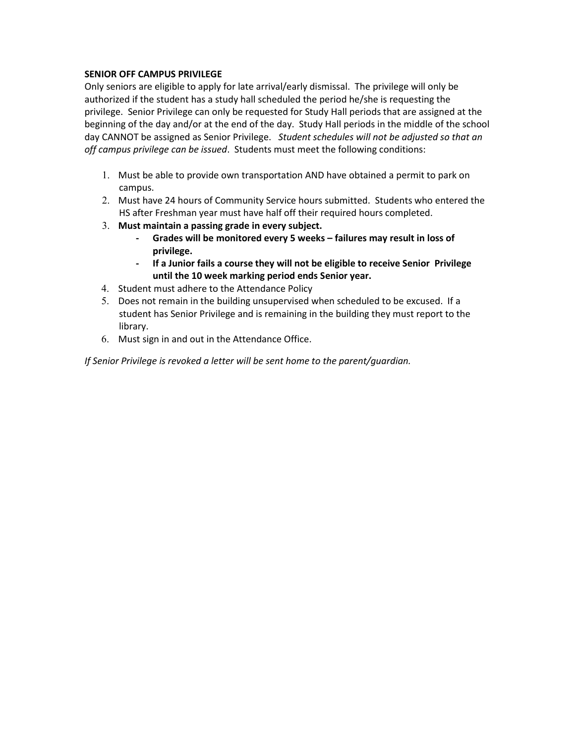## **SENIOR OFF CAMPUS PRIVILEGE**

Only seniors are eligible to apply for late arrival/early dismissal. The privilege will only be authorized if the student has a study hall scheduled the period he/she is requesting the privilege. Senior Privilege can only be requested for Study Hall periods that are assigned at the beginning of the day and/or at the end of the day. Study Hall periods in the middle of the school day CANNOT be assigned as Senior Privilege. *Student schedules will not be adjusted so that an off campus privilege can be issued*. Students must meet the following conditions:

- 1. Must be able to provide own transportation AND have obtained a permit to park on campus.
- 2. Must have 24 hours of Community Service hours submitted. Students who entered the HS after Freshman year must have half off their required hours completed.
- 3. **Must maintain a passing grade in every subject.** 
	- **- Grades will be monitored every 5 weeks – failures may result in loss of privilege.**
	- **- If a Junior fails a course they will not be eligible to receive Senior Privilege until the 10 week marking period ends Senior year.**
- 4. Student must adhere to the Attendance Policy
- 5. Does not remain in the building unsupervised when scheduled to be excused. If a student has Senior Privilege and is remaining in the building they must report to the library.
- 6. Must sign in and out in the Attendance Office.

*If Senior Privilege is revoked a letter will be sent home to the parent/guardian.*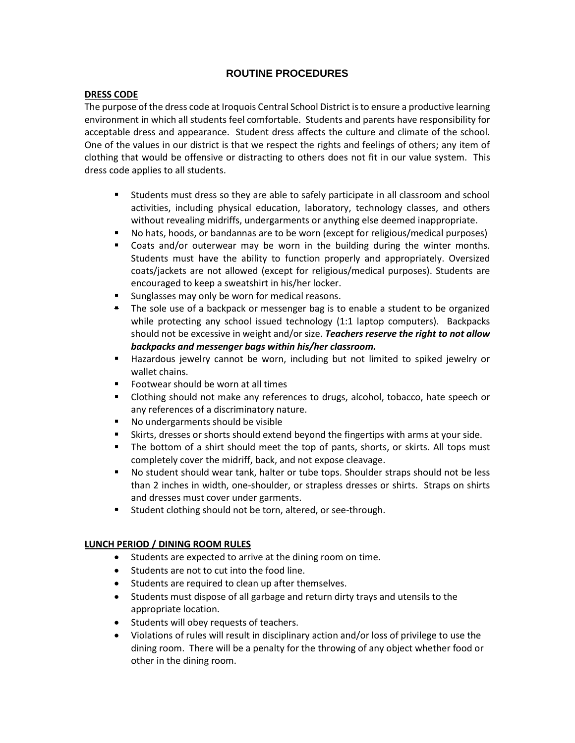## **ROUTINE PROCEDURES**

## **DRESS CODE**

The purpose of the dress code at Iroquois Central School District is to ensure a productive learning environment in which all students feel comfortable. Students and parents have responsibility for acceptable dress and appearance. Student dress affects the culture and climate of the school. One of the values in our district is that we respect the rights and feelings of others; any item of clothing that would be offensive or distracting to others does not fit in our value system. This dress code applies to all students.

- Students must dress so they are able to safely participate in all classroom and school activities, including physical education, laboratory, technology classes, and others without revealing midriffs, undergarments or anything else deemed inappropriate.
- No hats, hoods, or bandannas are to be worn (except for religious/medical purposes)
- Coats and/or outerwear may be worn in the building during the winter months. Students must have the ability to function properly and appropriately. Oversized coats/jackets are not allowed (except for religious/medical purposes). Students are encouraged to keep a sweatshirt in his/her locker.
- Sunglasses may only be worn for medical reasons.
- The sole use of a backpack or messenger bag is to enable a student to be organized while protecting any school issued technology (1:1 laptop computers). Backpacks should not be excessive in weight and/or size. *Teachers reserve the right to not allow backpacks and messenger bags within his/her classroom.*
- Hazardous jewelry cannot be worn, including but not limited to spiked jewelry or wallet chains.
- Footwear should be worn at all times
- Clothing should not make any references to drugs, alcohol, tobacco, hate speech or any references of a discriminatory nature.
- No undergarments should be visible
- Skirts, dresses or shorts should extend beyond the fingertips with arms at your side.
- The bottom of a shirt should meet the top of pants, shorts, or skirts. All tops must completely cover the midriff, back, and not expose cleavage.
- No student should wear tank, halter or tube tops. Shoulder straps should not be less than 2 inches in width, one-shoulder, or strapless dresses or shirts. Straps on shirts and dresses must cover under garments.
- **E** Student clothing should not be torn, altered, or see-through.

## **LUNCH PERIOD / DINING ROOM RULES**

- Students are expected to arrive at the dining room on time.
- Students are not to cut into the food line.
- Students are required to clean up after themselves.
- Students must dispose of all garbage and return dirty trays and utensils to the appropriate location.
- Students will obey requests of teachers.
- Violations of rules will result in disciplinary action and/or loss of privilege to use the dining room. There will be a penalty for the throwing of any object whether food or other in the dining room.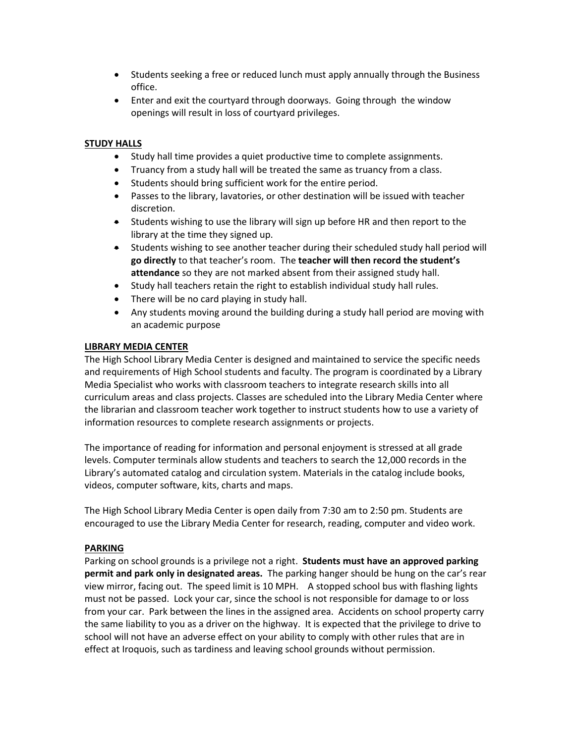- Students seeking a free or reduced lunch must apply annually through the Business office.
- Enter and exit the courtyard through doorways. Going through the window openings will result in loss of courtyard privileges.

#### **STUDY HALLS**

- Study hall time provides a quiet productive time to complete assignments.
- Truancy from a study hall will be treated the same as truancy from a class.
- Students should bring sufficient work for the entire period.
- Passes to the library, lavatories, or other destination will be issued with teacher discretion.
- Students wishing to use the library will sign up before HR and then report to the library at the time they signed up.
- Students wishing to see another teacher during their scheduled study hall period will **go directly** to that teacher's room. The **teacher will then record the student's attendance** so they are not marked absent from their assigned study hall.
- Study hall teachers retain the right to establish individual study hall rules.
- There will be no card playing in study hall.
- Any students moving around the building during a study hall period are moving with an academic purpose

## **LIBRARY MEDIA CENTER**

The High School Library Media Center is designed and maintained to service the specific needs and requirements of High School students and faculty. The program is coordinated by a Library Media Specialist who works with classroom teachers to integrate research skills into all curriculum areas and class projects. Classes are scheduled into the Library Media Center where the librarian and classroom teacher work together to instruct students how to use a variety of information resources to complete research assignments or projects.

The importance of reading for information and personal enjoyment is stressed at all grade levels. Computer terminals allow students and teachers to search the 12,000 records in the Library's automated catalog and circulation system. Materials in the catalog include books, videos, computer software, kits, charts and maps.

The High School Library Media Center is open daily from 7:30 am to 2:50 pm. Students are encouraged to use the Library Media Center for research, reading, computer and video work.

#### **PARKING**

Parking on school grounds is a privilege not a right. **Students must have an approved parking permit and park only in designated areas.** The parking hanger should be hung on the car's rear view mirror, facing out. The speed limit is 10 MPH. A stopped school bus with flashing lights must not be passed. Lock your car, since the school is not responsible for damage to or loss from your car. Park between the lines in the assigned area. Accidents on school property carry the same liability to you as a driver on the highway. It is expected that the privilege to drive to school will not have an adverse effect on your ability to comply with other rules that are in effect at Iroquois, such as tardiness and leaving school grounds without permission.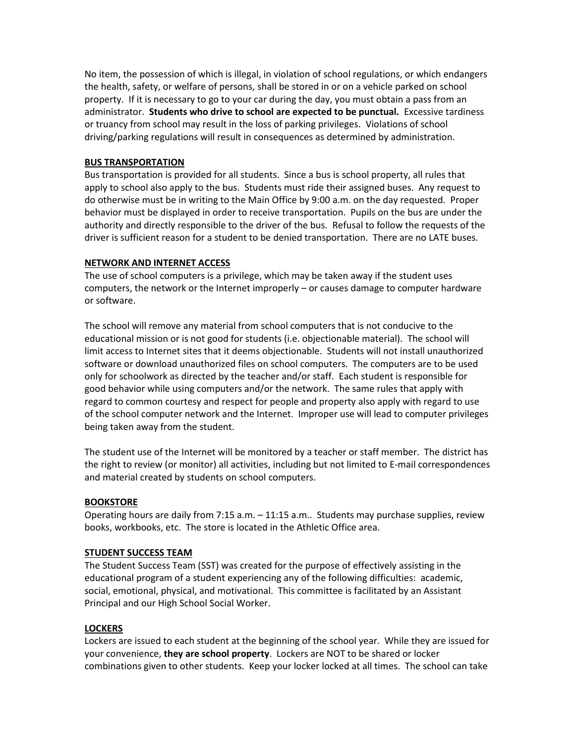No item, the possession of which is illegal, in violation of school regulations, or which endangers the health, safety, or welfare of persons, shall be stored in or on a vehicle parked on school property. If it is necessary to go to your car during the day, you must obtain a pass from an administrator. **Students who drive to school are expected to be punctual.** Excessive tardiness or truancy from school may result in the loss of parking privileges. Violations of school driving/parking regulations will result in consequences as determined by administration.

#### **BUS TRANSPORTATION**

Bus transportation is provided for all students. Since a bus is school property, all rules that apply to school also apply to the bus. Students must ride their assigned buses. Any request to do otherwise must be in writing to the Main Office by 9:00 a.m. on the day requested. Proper behavior must be displayed in order to receive transportation. Pupils on the bus are under the authority and directly responsible to the driver of the bus. Refusal to follow the requests of the driver is sufficient reason for a student to be denied transportation. There are no LATE buses.

#### **NETWORK AND INTERNET ACCESS**

The use of school computers is a privilege, which may be taken away if the student uses computers, the network or the Internet improperly – or causes damage to computer hardware or software.

The school will remove any material from school computers that is not conducive to the educational mission or is not good for students (i.e. objectionable material). The school will limit access to Internet sites that it deems objectionable. Students will not install unauthorized software or download unauthorized files on school computers. The computers are to be used only for schoolwork as directed by the teacher and/or staff. Each student is responsible for good behavior while using computers and/or the network. The same rules that apply with regard to common courtesy and respect for people and property also apply with regard to use of the school computer network and the Internet. Improper use will lead to computer privileges being taken away from the student.

The student use of the Internet will be monitored by a teacher or staff member. The district has the right to review (or monitor) all activities, including but not limited to E-mail correspondences and material created by students on school computers.

#### **BOOKSTORE**

Operating hours are daily from 7:15 a.m. – 11:15 a.m.. Students may purchase supplies, review books, workbooks, etc. The store is located in the Athletic Office area.

#### **STUDENT SUCCESS TEAM**

The Student Success Team (SST) was created for the purpose of effectively assisting in the educational program of a student experiencing any of the following difficulties: academic, social, emotional, physical, and motivational. This committee is facilitated by an Assistant Principal and our High School Social Worker.

#### **LOCKERS**

Lockers are issued to each student at the beginning of the school year. While they are issued for your convenience, **they are school property**. Lockers are NOT to be shared or locker combinations given to other students. Keep your locker locked at all times. The school can take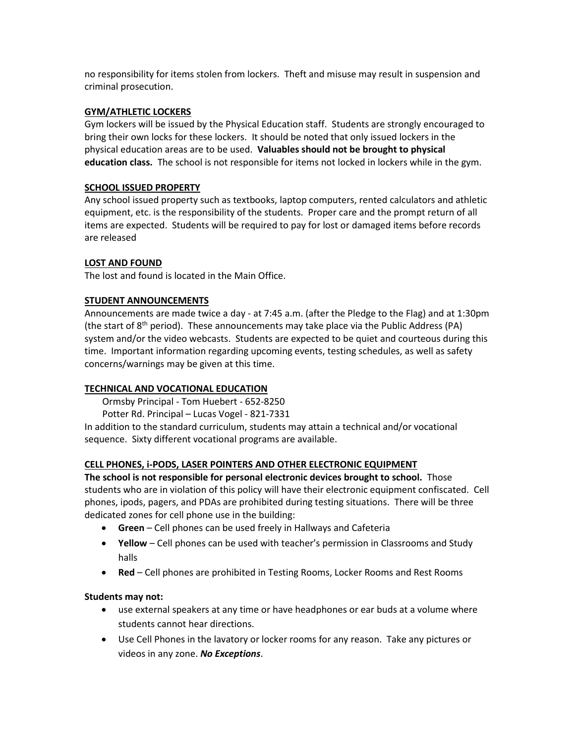no responsibility for items stolen from lockers. Theft and misuse may result in suspension and criminal prosecution.

#### **GYM/ATHLETIC LOCKERS**

Gym lockers will be issued by the Physical Education staff. Students are strongly encouraged to bring their own locks for these lockers.It should be noted that only issued lockers in the physical education areas are to be used. **Valuables should not be brought to physical education class.** The school is not responsible for items not locked in lockers while in the gym.

## **SCHOOL ISSUED PROPERTY**

Any school issued property such as textbooks, laptop computers, rented calculators and athletic equipment, etc. is the responsibility of the students. Proper care and the prompt return of all items are expected. Students will be required to pay for lost or damaged items before records are released

## **LOST AND FOUND**

The lost and found is located in the Main Office.

#### **STUDENT ANNOUNCEMENTS**

Announcements are made twice a day - at 7:45 a.m. (after the Pledge to the Flag) and at 1:30pm (the start of  $8<sup>th</sup>$  period). These announcements may take place via the Public Address (PA) system and/or the video webcasts. Students are expected to be quiet and courteous during this time. Important information regarding upcoming events, testing schedules, as well as safety concerns/warnings may be given at this time.

## **TECHNICAL AND VOCATIONAL EDUCATION**

Ormsby Principal - Tom Huebert - 652-8250

Potter Rd. Principal – Lucas Vogel - 821-7331

In addition to the standard curriculum, students may attain a technical and/or vocational sequence. Sixty different vocational programs are available.

## **CELL PHONES, i-PODS, LASER POINTERS AND OTHER ELECTRONIC EQUIPMENT**

**The school is not responsible for personal electronic devices brought to school.** Those students who are in violation of this policy will have their electronic equipment confiscated. Cell phones, ipods, pagers, and PDAs are prohibited during testing situations. There will be three dedicated zones for cell phone use in the building:

- **Green** Cell phones can be used freely in Hallways and Cafeteria
- **Yellow**  Cell phones can be used with teacher's permission in Classrooms and Study halls
- **Red**  Cell phones are prohibited in Testing Rooms, Locker Rooms and Rest Rooms

## **Students may not:**

- use external speakers at any time or have headphones or ear buds at a volume where students cannot hear directions.
- Use Cell Phones in the lavatory or locker rooms for any reason. Take any pictures or videos in any zone. *No Exceptions*.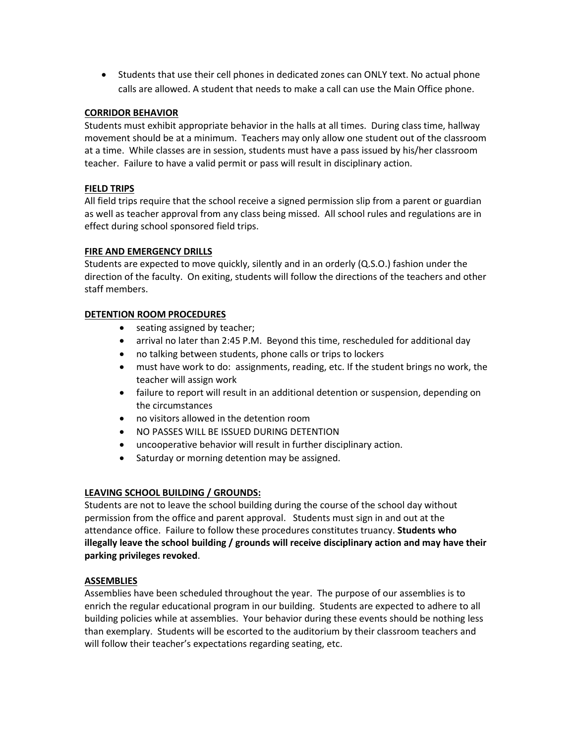• Students that use their cell phones in dedicated zones can ONLY text. No actual phone calls are allowed. A student that needs to make a call can use the Main Office phone.

## **CORRIDOR BEHAVIOR**

Students must exhibit appropriate behavior in the halls at all times. During class time, hallway movement should be at a minimum. Teachers may only allow one student out of the classroom at a time. While classes are in session, students must have a pass issued by his/her classroom teacher. Failure to have a valid permit or pass will result in disciplinary action.

#### **FIELD TRIPS**

All field trips require that the school receive a signed permission slip from a parent or guardian as well as teacher approval from any class being missed. All school rules and regulations are in effect during school sponsored field trips.

#### **FIRE AND EMERGENCY DRILLS**

Students are expected to move quickly, silently and in an orderly (Q.S.O.) fashion under the direction of the faculty. On exiting, students will follow the directions of the teachers and other staff members.

#### **DETENTION ROOM PROCEDURES**

- seating assigned by teacher;
- arrival no later than 2:45 P.M. Beyond this time, rescheduled for additional day
- no talking between students, phone calls or trips to lockers
- must have work to do: assignments, reading, etc. If the student brings no work, the teacher will assign work
- failure to report will result in an additional detention or suspension, depending on the circumstances
- no visitors allowed in the detention room
- NO PASSES WILL BE ISSUED DURING DETENTION
- uncooperative behavior will result in further disciplinary action.
- Saturday or morning detention may be assigned.

## **LEAVING SCHOOL BUILDING / GROUNDS:**

Students are not to leave the school building during the course of the school day without permission from the office and parent approval. Students must sign in and out at the attendance office. Failure to follow these procedures constitutes truancy. **Students who illegally leave the school building / grounds will receive disciplinary action and may have their parking privileges revoked**.

## **ASSEMBLIES**

Assemblies have been scheduled throughout the year. The purpose of our assemblies is to enrich the regular educational program in our building. Students are expected to adhere to all building policies while at assemblies. Your behavior during these events should be nothing less than exemplary. Students will be escorted to the auditorium by their classroom teachers and will follow their teacher's expectations regarding seating, etc.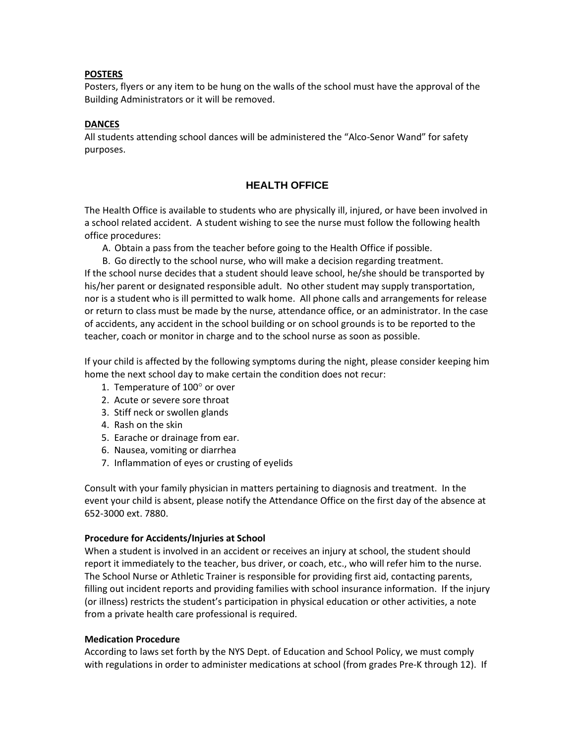#### **POSTERS**

Posters, flyers or any item to be hung on the walls of the school must have the approval of the Building Administrators or it will be removed.

#### **DANCES**

All students attending school dances will be administered the "Alco-Senor Wand" for safety purposes.

## **HEALTH OFFICE**

The Health Office is available to students who are physically ill, injured, or have been involved in a school related accident. A student wishing to see the nurse must follow the following health office procedures:

A. Obtain a pass from the teacher before going to the Health Office if possible.

B. Go directly to the school nurse, who will make a decision regarding treatment. If the school nurse decides that a student should leave school, he/she should be transported by his/her parent or designated responsible adult. No other student may supply transportation, nor is a student who is ill permitted to walk home. All phone calls and arrangements for release or return to class must be made by the nurse, attendance office, or an administrator. In the case of accidents, any accident in the school building or on school grounds is to be reported to the teacher, coach or monitor in charge and to the school nurse as soon as possible.

If your child is affected by the following symptoms during the night, please consider keeping him home the next school day to make certain the condition does not recur:

- 1. Temperature of  $100^\circ$  or over
- 2. Acute or severe sore throat
- 3. Stiff neck or swollen glands
- 4. Rash on the skin
- 5. Earache or drainage from ear.
- 6. Nausea, vomiting or diarrhea
- 7. Inflammation of eyes or crusting of eyelids

Consult with your family physician in matters pertaining to diagnosis and treatment. In the event your child is absent, please notify the Attendance Office on the first day of the absence at 652-3000 ext. 7880.

#### **Procedure for Accidents/Injuries at School**

When a student is involved in an accident or receives an injury at school, the student should report it immediately to the teacher, bus driver, or coach, etc., who will refer him to the nurse. The School Nurse or Athletic Trainer is responsible for providing first aid, contacting parents, filling out incident reports and providing families with school insurance information. If the injury (or illness) restricts the student's participation in physical education or other activities, a note from a private health care professional is required.

#### **Medication Procedure**

According to laws set forth by the NYS Dept. of Education and School Policy, we must comply with regulations in order to administer medications at school (from grades Pre-K through 12). If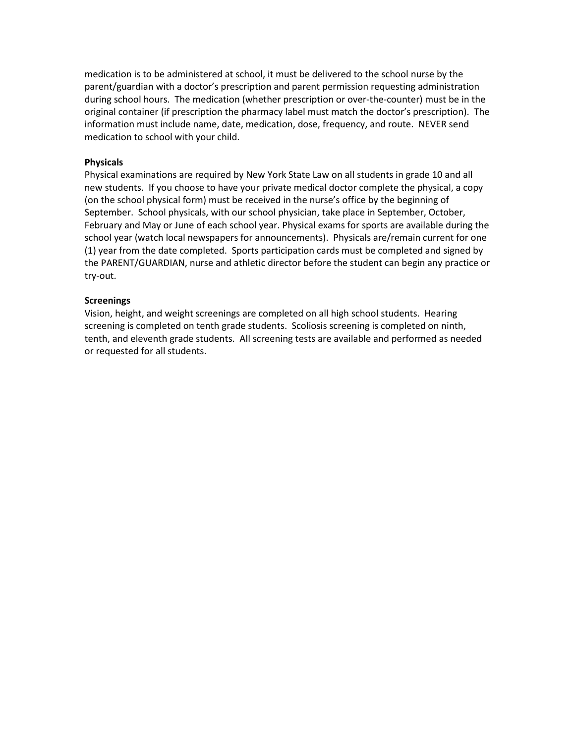medication is to be administered at school, it must be delivered to the school nurse by the parent/guardian with a doctor's prescription and parent permission requesting administration during school hours. The medication (whether prescription or over-the-counter) must be in the original container (if prescription the pharmacy label must match the doctor's prescription). The information must include name, date, medication, dose, frequency, and route. NEVER send medication to school with your child.

#### **Physicals**

Physical examinations are required by New York State Law on all students in grade 10 and all new students. If you choose to have your private medical doctor complete the physical, a copy (on the school physical form) must be received in the nurse's office by the beginning of September. School physicals, with our school physician, take place in September, October, February and May or June of each school year. Physical exams for sports are available during the school year (watch local newspapers for announcements). Physicals are/remain current for one (1) year from the date completed. Sports participation cards must be completed and signed by the PARENT/GUARDIAN, nurse and athletic director before the student can begin any practice or try-out.

#### **Screenings**

Vision, height, and weight screenings are completed on all high school students. Hearing screening is completed on tenth grade students. Scoliosis screening is completed on ninth, tenth, and eleventh grade students. All screening tests are available and performed as needed or requested for all students.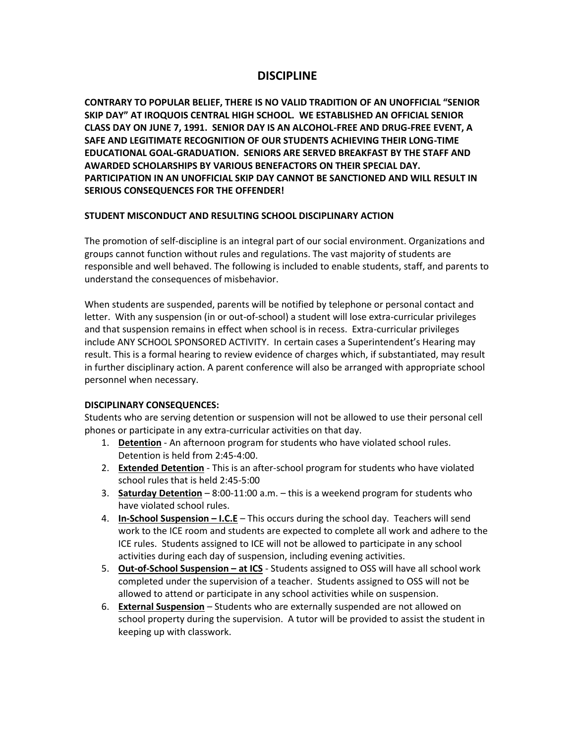## **DISCIPLINE**

**CONTRARY TO POPULAR BELIEF, THERE IS NO VALID TRADITION OF AN UNOFFICIAL "SENIOR SKIP DAY" AT IROQUOIS CENTRAL HIGH SCHOOL. WE ESTABLISHED AN OFFICIAL SENIOR CLASS DAY ON JUNE 7, 1991. SENIOR DAY IS AN ALCOHOL-FREE AND DRUG-FREE EVENT, A SAFE AND LEGITIMATE RECOGNITION OF OUR STUDENTS ACHIEVING THEIR LONG-TIME EDUCATIONAL GOAL-GRADUATION. SENIORS ARE SERVED BREAKFAST BY THE STAFF AND AWARDED SCHOLARSHIPS BY VARIOUS BENEFACTORS ON THEIR SPECIAL DAY. PARTICIPATION IN AN UNOFFICIAL SKIP DAY CANNOT BE SANCTIONED AND WILL RESULT IN SERIOUS CONSEQUENCES FOR THE OFFENDER!**

## **STUDENT MISCONDUCT AND RESULTING SCHOOL DISCIPLINARY ACTION**

The promotion of self-discipline is an integral part of our social environment. Organizations and groups cannot function without rules and regulations. The vast majority of students are responsible and well behaved. The following is included to enable students, staff, and parents to understand the consequences of misbehavior.

When students are suspended, parents will be notified by telephone or personal contact and letter. With any suspension (in or out-of-school) a student will lose extra-curricular privileges and that suspension remains in effect when school is in recess. Extra-curricular privileges include ANY SCHOOL SPONSORED ACTIVITY. In certain cases a Superintendent's Hearing may result. This is a formal hearing to review evidence of charges which, if substantiated, may result in further disciplinary action. A parent conference will also be arranged with appropriate school personnel when necessary.

## **DISCIPLINARY CONSEQUENCES:**

Students who are serving detention or suspension will not be allowed to use their personal cell phones or participate in any extra-curricular activities on that day.

- 1. **Detention** An afternoon program for students who have violated school rules. Detention is held from 2:45-4:00.
- 2. **Extended Detention** This is an after-school program for students who have violated school rules that is held 2:45-5:00
- 3. **Saturday Detention** 8:00-11:00 a.m. this is a weekend program for students who have violated school rules.
- 4. **In-School Suspension – I.C.E** This occurs during the school day. Teachers will send work to the ICE room and students are expected to complete all work and adhere to the ICE rules. Students assigned to ICE will not be allowed to participate in any school activities during each day of suspension, including evening activities.
- 5. **Out-of-School Suspension – at ICS** Students assigned to OSS will have all school work completed under the supervision of a teacher. Students assigned to OSS will not be allowed to attend or participate in any school activities while on suspension.
- 6. **External Suspension** Students who are externally suspended are not allowed on school property during the supervision. A tutor will be provided to assist the student in keeping up with classwork.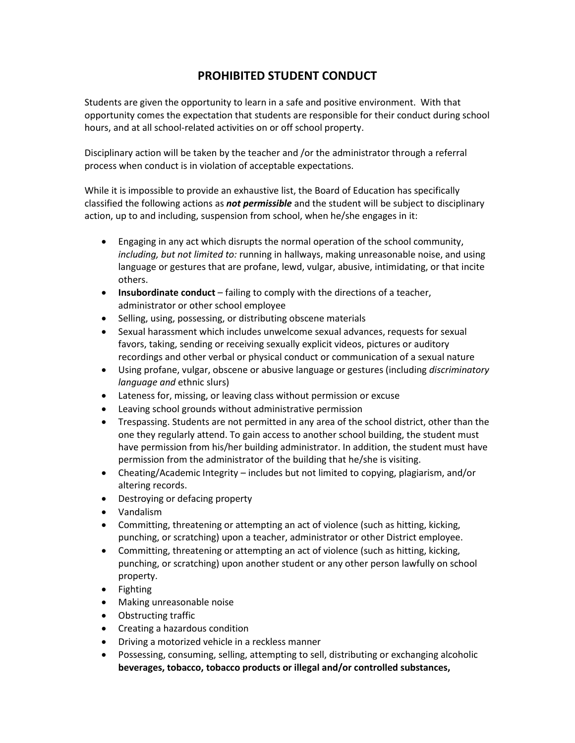# **PROHIBITED STUDENT CONDUCT**

Students are given the opportunity to learn in a safe and positive environment. With that opportunity comes the expectation that students are responsible for their conduct during school hours, and at all school-related activities on or off school property.

Disciplinary action will be taken by the teacher and /or the administrator through a referral process when conduct is in violation of acceptable expectations.

While it is impossible to provide an exhaustive list, the Board of Education has specifically classified the following actions as *not permissible* and the student will be subject to disciplinary action, up to and including, suspension from school, when he/she engages in it:

- Engaging in any act which disrupts the normal operation of the school community, *including, but not limited to:* running in hallways, making unreasonable noise, and using language or gestures that are profane, lewd, vulgar, abusive, intimidating, or that incite others.
- **Insubordinate conduct** failing to comply with the directions of a teacher, administrator or other school employee
- Selling, using, possessing, or distributing obscene materials
- Sexual harassment which includes unwelcome sexual advances, requests for sexual favors, taking, sending or receiving sexually explicit videos, pictures or auditory recordings and other verbal or physical conduct or communication of a sexual nature
- Using profane, vulgar, obscene or abusive language or gestures (including *discriminatory language and* ethnic slurs)
- Lateness for, missing, or leaving class without permission or excuse
- Leaving school grounds without administrative permission
- Trespassing. Students are not permitted in any area of the school district, other than the one they regularly attend. To gain access to another school building, the student must have permission from his/her building administrator. In addition, the student must have permission from the administrator of the building that he/she is visiting.
- Cheating/Academic Integrity includes but not limited to copying, plagiarism, and/or altering records.
- Destroying or defacing property
- Vandalism
- Committing, threatening or attempting an act of violence (such as hitting, kicking, punching, or scratching) upon a teacher, administrator or other District employee.
- Committing, threatening or attempting an act of violence (such as hitting, kicking, punching, or scratching) upon another student or any other person lawfully on school property.
- Fighting
- Making unreasonable noise
- Obstructing traffic
- Creating a hazardous condition
- Driving a motorized vehicle in a reckless manner
- Possessing, consuming, selling, attempting to sell, distributing or exchanging alcoholic **beverages, tobacco, tobacco products or illegal and/or controlled substances,**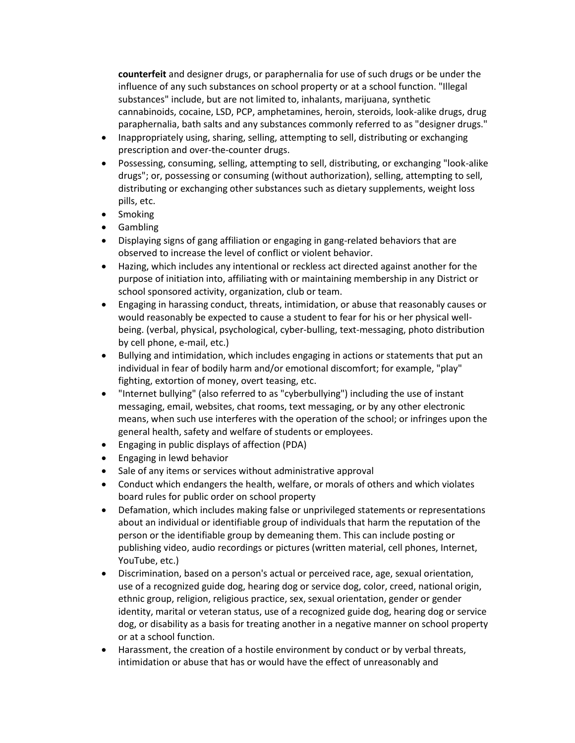**counterfeit** and designer drugs, or paraphernalia for use of such drugs or be under the influence of any such substances on school property or at a school function. "Illegal substances" include, but are not limited to, inhalants, marijuana, synthetic cannabinoids, cocaine, LSD, PCP, amphetamines, heroin, steroids, look-alike drugs, drug paraphernalia, bath salts and any substances commonly referred to as "designer drugs."

- Inappropriately using, sharing, selling, attempting to sell, distributing or exchanging prescription and over-the-counter drugs.
- Possessing, consuming, selling, attempting to sell, distributing, or exchanging "look-alike drugs"; or, possessing or consuming (without authorization), selling, attempting to sell, distributing or exchanging other substances such as dietary supplements, weight loss pills, etc.
- Smoking
- Gambling
- Displaying signs of gang affiliation or engaging in gang-related behaviors that are observed to increase the level of conflict or violent behavior.
- Hazing, which includes any intentional or reckless act directed against another for the purpose of initiation into, affiliating with or maintaining membership in any District or school sponsored activity, organization, club or team.
- Engaging in harassing conduct, threats, intimidation, or abuse that reasonably causes or would reasonably be expected to cause a student to fear for his or her physical wellbeing. (verbal, physical, psychological, cyber-bulling, text-messaging, photo distribution by cell phone, e-mail, etc.)
- Bullying and intimidation, which includes engaging in actions or statements that put an individual in fear of bodily harm and/or emotional discomfort; for example, "play" fighting, extortion of money, overt teasing, etc.
- "Internet bullying" (also referred to as "cyberbullying") including the use of instant messaging, email, websites, chat rooms, text messaging, or by any other electronic means, when such use interferes with the operation of the school; or infringes upon the general health, safety and welfare of students or employees.
- Engaging in public displays of affection (PDA)
- Engaging in lewd behavior
- Sale of any items or services without administrative approval
- Conduct which endangers the health, welfare, or morals of others and which violates board rules for public order on school property
- Defamation, which includes making false or unprivileged statements or representations about an individual or identifiable group of individuals that harm the reputation of the person or the identifiable group by demeaning them. This can include posting or publishing video, audio recordings or pictures (written material, cell phones, Internet, YouTube, etc.)
- Discrimination, based on a person's actual or perceived race, age, sexual orientation, use of a recognized guide dog, hearing dog or service dog, color, creed, national origin, ethnic group, religion, religious practice, sex, sexual orientation, gender or gender identity, marital or veteran status, use of a recognized guide dog, hearing dog or service dog, or disability as a basis for treating another in a negative manner on school property or at a school function.
- Harassment, the creation of a hostile environment by conduct or by verbal threats, intimidation or abuse that has or would have the effect of unreasonably and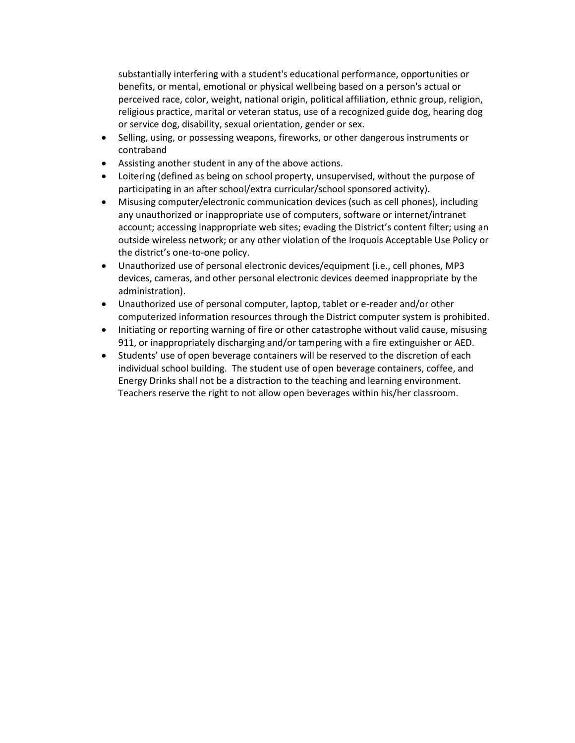substantially interfering with a student's educational performance, opportunities or benefits, or mental, emotional or physical wellbeing based on a person's actual or perceived race, color, weight, national origin, political affiliation, ethnic group, religion, religious practice, marital or veteran status, use of a recognized guide dog, hearing dog or service dog, disability, sexual orientation, gender or sex.

- Selling, using, or possessing weapons, fireworks, or other dangerous instruments or contraband
- Assisting another student in any of the above actions.
- Loitering (defined as being on school property, unsupervised, without the purpose of participating in an after school/extra curricular/school sponsored activity).
- Misusing computer/electronic communication devices (such as cell phones), including any unauthorized or inappropriate use of computers, software or internet/intranet account; accessing inappropriate web sites; evading the District's content filter; using an outside wireless network; or any other violation of the Iroquois Acceptable Use Policy or the district's one-to-one policy.
- Unauthorized use of personal electronic devices/equipment (i.e., cell phones, MP3 devices, cameras, and other personal electronic devices deemed inappropriate by the administration).
- Unauthorized use of personal computer, laptop, tablet or e-reader and/or other computerized information resources through the District computer system is prohibited.
- Initiating or reporting warning of fire or other catastrophe without valid cause, misusing 911, or inappropriately discharging and/or tampering with a fire extinguisher or AED.
- Students' use of open beverage containers will be reserved to the discretion of each individual school building. The student use of open beverage containers, coffee, and Energy Drinks shall not be a distraction to the teaching and learning environment. Teachers reserve the right to not allow open beverages within his/her classroom.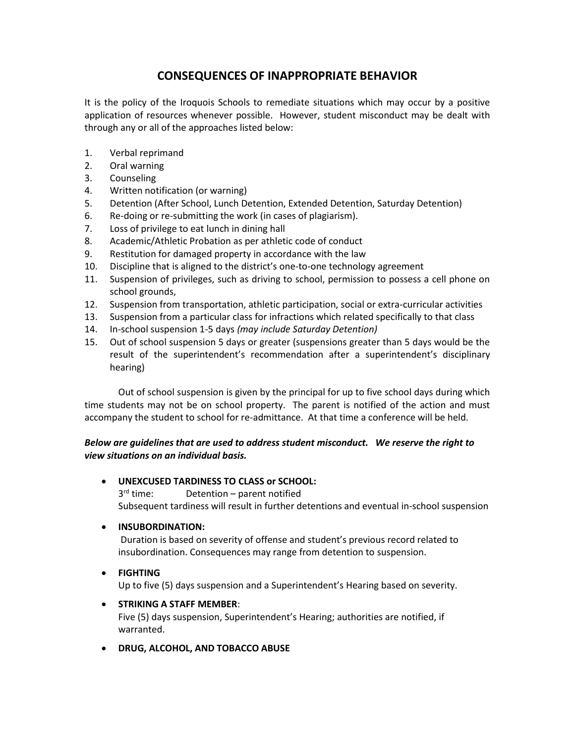# **CONSEQUENCES OF INAPPROPRIATE BEHAVIOR**

It is the policy of the Iroquois Schools to remediate situations which may occur by a positive application of resources whenever possible. However, student misconduct may be dealt with through any or all of the approaches listed below:

- 1. Verbal reprimand
- 2. Oral warning
- 3. Counseling
- 4. Written notification (or warning)
- 5. Detention (After School, Lunch Detention, Extended Detention, Saturday Detention)
- 6. Re-doing or re-submitting the work (in cases of plagiarism).
- 7. Loss of privilege to eat lunch in dining hall
- 8. Academic/Athletic Probation as per athletic code of conduct
- 9. Restitution for damaged property in accordance with the law
- 10. Discipline that is aligned to the district's one-to-one technology agreement
- 11. Suspension of privileges, such as driving to school, permission to possess a cell phone on school grounds,
- 12. Suspension from transportation, athletic participation, social or extra-curricular activities
- 13. Suspension from a particular class for infractions which related specifically to that class
- 14. In-school suspension 1-5 days *(may include Saturday Detention)*
- 15. Out of school suspension 5 days or greater (suspensions greater than 5 days would be the result of the superintendent's recommendation after a superintendent's disciplinary hearing)

Out of school suspension is given by the principal for up to five school days during which time students may not be on school property. The parent is notified of the action and must accompany the student to school for re-admittance. At that time a conference will be held.

## *Below are guidelines that are used to address student misconduct. We reserve the right to view situations on an individual basis.*

- **UNEXCUSED TARDINESS TO CLASS or SCHOOL:**  $3^{\text{rd}}$  time: Detention – parent notified Subsequent tardiness will result in further detentions and eventual in-school suspension
- **INSUBORDINATION:**

Duration is based on severity of offense and student's previous record related to insubordination. Consequences may range from detention to suspension.

## • **FIGHTING**

Up to five (5) days suspension and a Superintendent's Hearing based on severity.

## • **STRIKING A STAFF MEMBER**:

Five (5) days suspension, Superintendent's Hearing; authorities are notified, if warranted.

• **DRUG, ALCOHOL, AND TOBACCO ABUSE**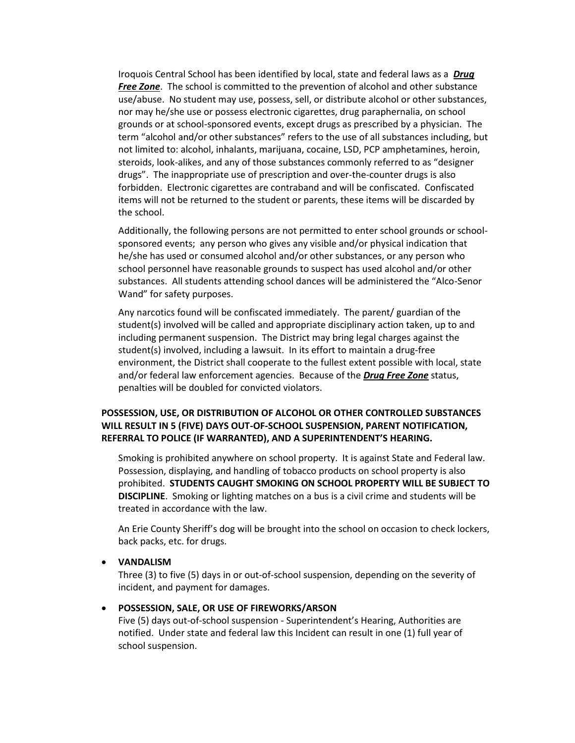Iroquois Central School has been identified by local, state and federal laws as a *Drug Free Zone*. The school is committed to the prevention of alcohol and other substance use/abuse. No student may use, possess, sell, or distribute alcohol or other substances, nor may he/she use or possess electronic cigarettes, drug paraphernalia, on school grounds or at school-sponsored events, except drugs as prescribed by a physician. The term "alcohol and/or other substances" refers to the use of all substances including, but not limited to: alcohol, inhalants, marijuana, cocaine, LSD, PCP amphetamines, heroin, steroids, look-alikes, and any of those substances commonly referred to as "designer drugs". The inappropriate use of prescription and over-the-counter drugs is also forbidden. Electronic cigarettes are contraband and will be confiscated. Confiscated items will not be returned to the student or parents, these items will be discarded by the school.

Additionally, the following persons are not permitted to enter school grounds or schoolsponsored events; any person who gives any visible and/or physical indication that he/she has used or consumed alcohol and/or other substances, or any person who school personnel have reasonable grounds to suspect has used alcohol and/or other substances. All students attending school dances will be administered the "Alco-Senor Wand" for safety purposes.

Any narcotics found will be confiscated immediately. The parent/ guardian of the student(s) involved will be called and appropriate disciplinary action taken, up to and including permanent suspension. The District may bring legal charges against the student(s) involved, including a lawsuit. In its effort to maintain a drug-free environment, the District shall cooperate to the fullest extent possible with local, state and/or federal law enforcement agencies. Because of the *Drug Free Zone* status, penalties will be doubled for convicted violators.

## **POSSESSION, USE, OR DISTRIBUTION OF ALCOHOL OR OTHER CONTROLLED SUBSTANCES WILL RESULT IN 5 (FIVE) DAYS OUT-OF-SCHOOL SUSPENSION, PARENT NOTIFICATION, REFERRAL TO POLICE (IF WARRANTED), AND A SUPERINTENDENT'S HEARING.**

Smoking is prohibited anywhere on school property. It is against State and Federal law. Possession, displaying, and handling of tobacco products on school property is also prohibited. **STUDENTS CAUGHT SMOKING ON SCHOOL PROPERTY WILL BE SUBJECT TO DISCIPLINE**. Smoking or lighting matches on a bus is a civil crime and students will be treated in accordance with the law.

An Erie County Sheriff's dog will be brought into the school on occasion to check lockers, back packs, etc. for drugs.

#### • **VANDALISM**

Three (3) to five (5) days in or out-of-school suspension, depending on the severity of incident, and payment for damages.

#### • **POSSESSION, SALE, OR USE OF FIREWORKS/ARSON**

Five (5) days out-of-school suspension - Superintendent's Hearing, Authorities are notified. Under state and federal law this Incident can result in one (1) full year of school suspension.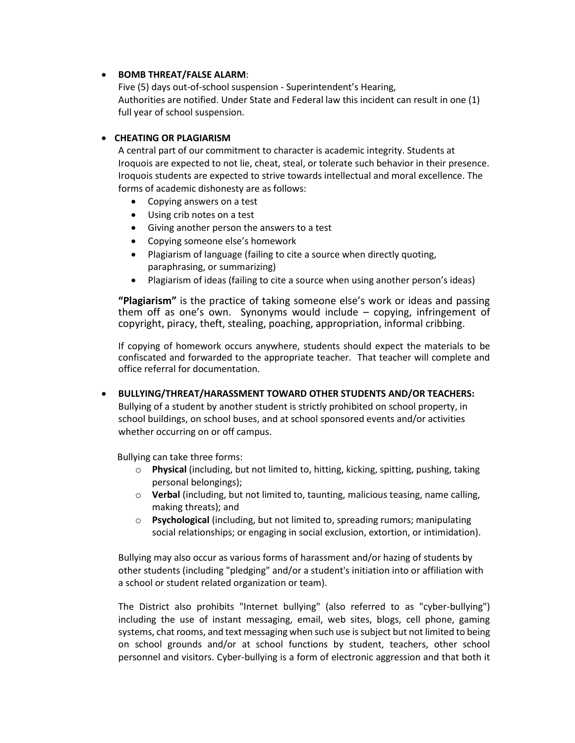## • **BOMB THREAT/FALSE ALARM**:

Five (5) days out-of-school suspension - Superintendent's Hearing, Authorities are notified. Under State and Federal law this incident can result in one (1) full year of school suspension.

## • **CHEATING OR PLAGIARISM**

A central part of our commitment to character is academic integrity. Students at Iroquois are expected to not lie, cheat, steal, or tolerate such behavior in their presence. Iroquois students are expected to strive towards intellectual and moral excellence. The forms of academic dishonesty are as follows:

- Copying answers on a test
- Using crib notes on a test
- Giving another person the answers to a test
- Copying someone else's homework
- Plagiarism of language (failing to cite a source when directly quoting, paraphrasing, or summarizing)
- Plagiarism of ideas (failing to cite a source when using another person's ideas)

**"Plagiarism"** is the practice of taking someone else's work or ideas and passing them off as one's own. Synonyms would include – copying, infringement of copyright, piracy, theft, stealing, poaching, appropriation, informal cribbing.

If copying of homework occurs anywhere, students should expect the materials to be confiscated and forwarded to the appropriate teacher. That teacher will complete and office referral for documentation.

• **BULLYING/THREAT/HARASSMENT TOWARD OTHER STUDENTS AND/OR TEACHERS:** Bullying of a student by another student is strictly prohibited on school property, in school buildings, on school buses, and at school sponsored events and/or activities whether occurring on or off campus.

Bullying can take three forms:

- o **Physical** (including, but not limited to, hitting, kicking, spitting, pushing, taking personal belongings);
- o **Verbal** (including, but not limited to, taunting, malicious teasing, name calling, making threats); and
- o **Psychological** (including, but not limited to, spreading rumors; manipulating social relationships; or engaging in social exclusion, extortion, or intimidation).

Bullying may also occur as various forms of harassment and/or hazing of students by other students (including "pledging" and/or a student's initiation into or affiliation with a school or student related organization or team).

The District also prohibits "Internet bullying" (also referred to as "cyber-bullying") including the use of instant messaging, email, web sites, blogs, cell phone, gaming systems, chat rooms, and text messaging when such use is subject but not limited to being on school grounds and/or at school functions by student, teachers, other school personnel and visitors. Cyber-bullying is a form of electronic aggression and that both it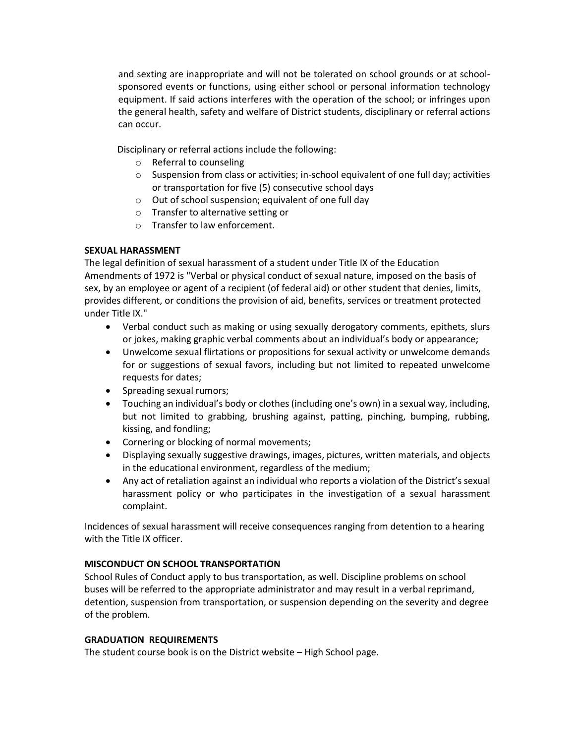and sexting are inappropriate and will not be tolerated on school grounds or at schoolsponsored events or functions, using either school or personal information technology equipment. If said actions interferes with the operation of the school; or infringes upon the general health, safety and welfare of District students, disciplinary or referral actions can occur.

Disciplinary or referral actions include the following:

- o Referral to counseling
- o Suspension from class or activities; in-school equivalent of one full day; activities or transportation for five (5) consecutive school days
- o Out of school suspension; equivalent of one full day
- o Transfer to alternative setting or
- o Transfer to law enforcement.

## **SEXUAL HARASSMENT**

The legal definition of sexual harassment of a student under Title IX of the Education Amendments of 1972 is "Verbal or physical conduct of sexual nature, imposed on the basis of sex, by an employee or agent of a recipient (of federal aid) or other student that denies, limits, provides different, or conditions the provision of aid, benefits, services or treatment protected under Title IX."

- Verbal conduct such as making or using sexually derogatory comments, epithets, slurs or jokes, making graphic verbal comments about an individual's body or appearance;
- Unwelcome sexual flirtations or propositions for sexual activity or unwelcome demands for or suggestions of sexual favors, including but not limited to repeated unwelcome requests for dates;
- Spreading sexual rumors;
- Touching an individual's body or clothes (including one's own) in a sexual way, including, but not limited to grabbing, brushing against, patting, pinching, bumping, rubbing, kissing, and fondling;
- Cornering or blocking of normal movements;
- Displaying sexually suggestive drawings, images, pictures, written materials, and objects in the educational environment, regardless of the medium;
- Any act of retaliation against an individual who reports a violation of the District's sexual harassment policy or who participates in the investigation of a sexual harassment complaint.

Incidences of sexual harassment will receive consequences ranging from detention to a hearing with the Title IX officer.

## **MISCONDUCT ON SCHOOL TRANSPORTATION**

School Rules of Conduct apply to bus transportation, as well. Discipline problems on school buses will be referred to the appropriate administrator and may result in a verbal reprimand, detention, suspension from transportation, or suspension depending on the severity and degree of the problem.

## **GRADUATION REQUIREMENTS**

The student course book is on the District website – High School page.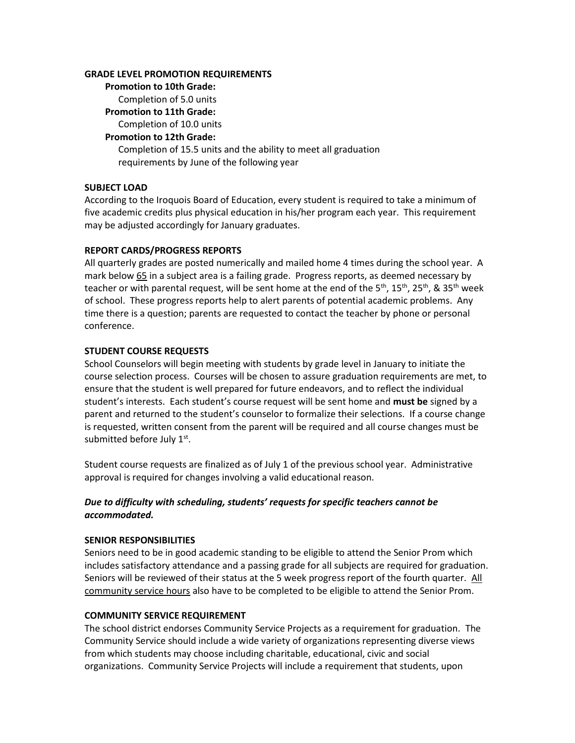#### **GRADE LEVEL PROMOTION REQUIREMENTS**

**Promotion to 10th Grade:**  Completion of 5.0 units **Promotion to 11th Grade:** Completion of 10.0 units **Promotion to 12th Grade:** Completion of 15.5 units and the ability to meet all graduation requirements by June of the following year

## **SUBJECT LOAD**

According to the Iroquois Board of Education, every student is required to take a minimum of five academic credits plus physical education in his/her program each year. This requirement may be adjusted accordingly for January graduates.

#### **REPORT CARDS/PROGRESS REPORTS**

All quarterly grades are posted numerically and mailed home 4 times during the school year. A mark below 65 in a subject area is a failing grade. Progress reports, as deemed necessary by teacher or with parental request, will be sent home at the end of the 5<sup>th</sup>, 15<sup>th</sup>, 25<sup>th</sup>, & 35<sup>th</sup> week of school. These progress reports help to alert parents of potential academic problems. Any time there is a question; parents are requested to contact the teacher by phone or personal conference.

#### **STUDENT COURSE REQUESTS**

School Counselors will begin meeting with students by grade level in January to initiate the course selection process. Courses will be chosen to assure graduation requirements are met, to ensure that the student is well prepared for future endeavors, and to reflect the individual student's interests. Each student's course request will be sent home and **must be** signed by a parent and returned to the student's counselor to formalize their selections. If a course change is requested, written consent from the parent will be required and all course changes must be submitted before July 1st.

Student course requests are finalized as of July 1 of the previous school year. Administrative approval is required for changes involving a valid educational reason.

## *Due to difficulty with scheduling, students' requests for specific teachers cannot be accommodated.*

#### **SENIOR RESPONSIBILITIES**

Seniors need to be in good academic standing to be eligible to attend the Senior Prom which includes satisfactory attendance and a passing grade for all subjects are required for graduation. Seniors will be reviewed of their status at the 5 week progress report of the fourth quarter. All community service hours also have to be completed to be eligible to attend the Senior Prom.

#### **COMMUNITY SERVICE REQUIREMENT**

The school district endorses Community Service Projects as a requirement for graduation. The Community Service should include a wide variety of organizations representing diverse views from which students may choose including charitable, educational, civic and social organizations. Community Service Projects will include a requirement that students, upon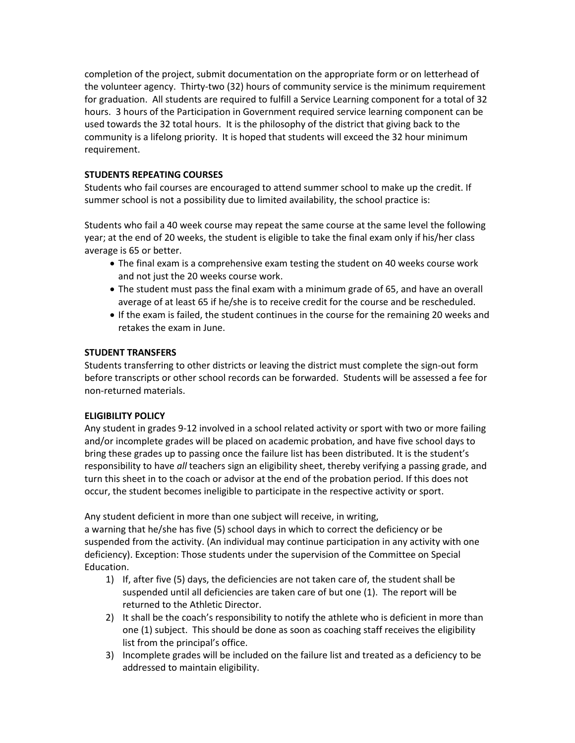completion of the project, submit documentation on the appropriate form or on letterhead of the volunteer agency. Thirty-two (32) hours of community service is the minimum requirement for graduation. All students are required to fulfill a Service Learning component for a total of 32 hours. 3 hours of the Participation in Government required service learning component can be used towards the 32 total hours. It is the philosophy of the district that giving back to the community is a lifelong priority. It is hoped that students will exceed the 32 hour minimum requirement.

## **STUDENTS REPEATING COURSES**

Students who fail courses are encouraged to attend summer school to make up the credit. If summer school is not a possibility due to limited availability, the school practice is:

Students who fail a 40 week course may repeat the same course at the same level the following year; at the end of 20 weeks, the student is eligible to take the final exam only if his/her class average is 65 or better.

- The final exam is a comprehensive exam testing the student on 40 weeks course work and not just the 20 weeks course work.
- The student must pass the final exam with a minimum grade of 65, and have an overall average of at least 65 if he/she is to receive credit for the course and be rescheduled.
- If the exam is failed, the student continues in the course for the remaining 20 weeks and retakes the exam in June.

## **STUDENT TRANSFERS**

Students transferring to other districts or leaving the district must complete the sign-out form before transcripts or other school records can be forwarded. Students will be assessed a fee for non-returned materials.

## **ELIGIBILITY POLICY**

Any student in grades 9-12 involved in a school related activity or sport with two or more failing and/or incomplete grades will be placed on academic probation, and have five school days to bring these grades up to passing once the failure list has been distributed. It is the student's responsibility to have *all* teachers sign an eligibility sheet, thereby verifying a passing grade, and turn this sheet in to the coach or advisor at the end of the probation period. If this does not occur, the student becomes ineligible to participate in the respective activity or sport.

Any student deficient in more than one subject will receive, in writing,

a warning that he/she has five (5) school days in which to correct the deficiency or be suspended from the activity. (An individual may continue participation in any activity with one deficiency). Exception: Those students under the supervision of the Committee on Special Education.

- 1) If, after five (5) days, the deficiencies are not taken care of, the student shall be suspended until all deficiencies are taken care of but one (1). The report will be returned to the Athletic Director.
- 2) It shall be the coach's responsibility to notify the athlete who is deficient in more than one (1) subject. This should be done as soon as coaching staff receives the eligibility list from the principal's office.
- 3) Incomplete grades will be included on the failure list and treated as a deficiency to be addressed to maintain eligibility.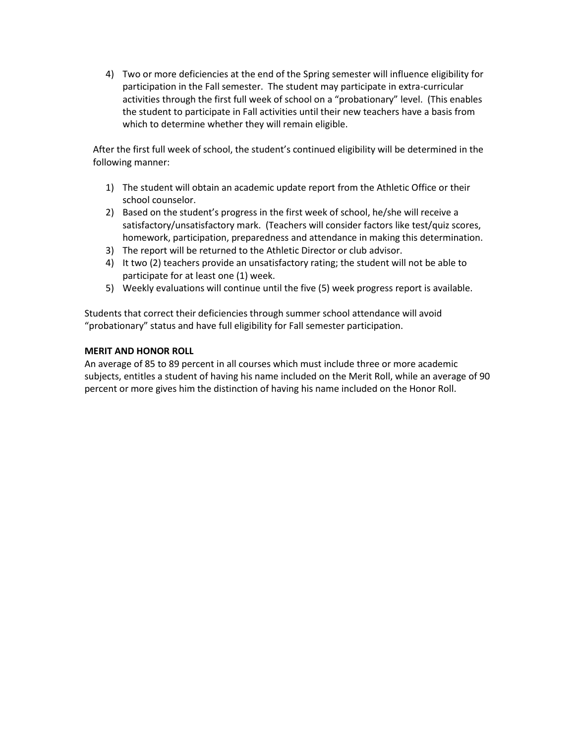4) Two or more deficiencies at the end of the Spring semester will influence eligibility for participation in the Fall semester. The student may participate in extra-curricular activities through the first full week of school on a "probationary" level. (This enables the student to participate in Fall activities until their new teachers have a basis from which to determine whether they will remain eligible.

After the first full week of school, the student's continued eligibility will be determined in the following manner:

- 1) The student will obtain an academic update report from the Athletic Office or their school counselor.
- 2) Based on the student's progress in the first week of school, he/she will receive a satisfactory/unsatisfactory mark. (Teachers will consider factors like test/quiz scores, homework, participation, preparedness and attendance in making this determination.
- 3) The report will be returned to the Athletic Director or club advisor.
- 4) It two (2) teachers provide an unsatisfactory rating; the student will not be able to participate for at least one (1) week.
- 5) Weekly evaluations will continue until the five (5) week progress report is available.

Students that correct their deficiencies through summer school attendance will avoid "probationary" status and have full eligibility for Fall semester participation.

## **MERIT AND HONOR ROLL**

An average of 85 to 89 percent in all courses which must include three or more academic subjects, entitles a student of having his name included on the Merit Roll, while an average of 90 percent or more gives him the distinction of having his name included on the Honor Roll.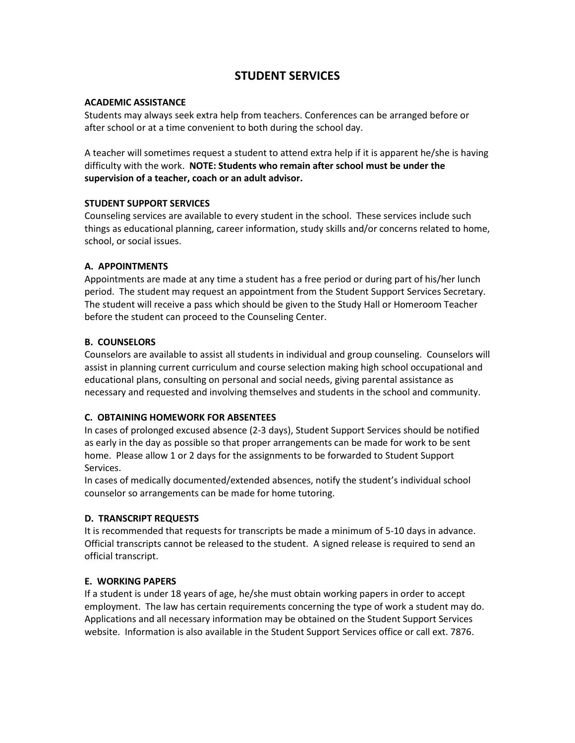# **STUDENT SERVICES**

## **ACADEMIC ASSISTANCE**

Students may always seek extra help from teachers. Conferences can be arranged before or after school or at a time convenient to both during the school day.

A teacher will sometimes request a student to attend extra help if it is apparent he/she is having difficulty with the work. **NOTE: Students who remain after school must be under the supervision of a teacher, coach or an adult advisor.**

## **STUDENT SUPPORT SERVICES**

Counseling services are available to every student in the school. These services include such things as educational planning, career information, study skills and/or concerns related to home, school, or social issues.

## **A. APPOINTMENTS**

Appointments are made at any time a student has a free period or during part of his/her lunch period. The student may request an appointment from the Student Support Services Secretary. The student will receive a pass which should be given to the Study Hall or Homeroom Teacher before the student can proceed to the Counseling Center.

## **B. COUNSELORS**

Counselors are available to assist all students in individual and group counseling. Counselors will assist in planning current curriculum and course selection making high school occupational and educational plans, consulting on personal and social needs, giving parental assistance as necessary and requested and involving themselves and students in the school and community.

## **C. OBTAINING HOMEWORK FOR ABSENTEES**

In cases of prolonged excused absence (2-3 days), Student Support Services should be notified as early in the day as possible so that proper arrangements can be made for work to be sent home. Please allow 1 or 2 days for the assignments to be forwarded to Student Support Services.

In cases of medically documented/extended absences, notify the student's individual school counselor so arrangements can be made for home tutoring.

## **D. TRANSCRIPT REQUESTS**

It is recommended that requests for transcripts be made a minimum of 5-10 days in advance. Official transcripts cannot be released to the student. A signed release is required to send an official transcript.

## **E. WORKING PAPERS**

If a student is under 18 years of age, he/she must obtain working papers in order to accept employment. The law has certain requirements concerning the type of work a student may do. Applications and all necessary information may be obtained on the Student Support Services website. Information is also available in the Student Support Services office or call ext. 7876.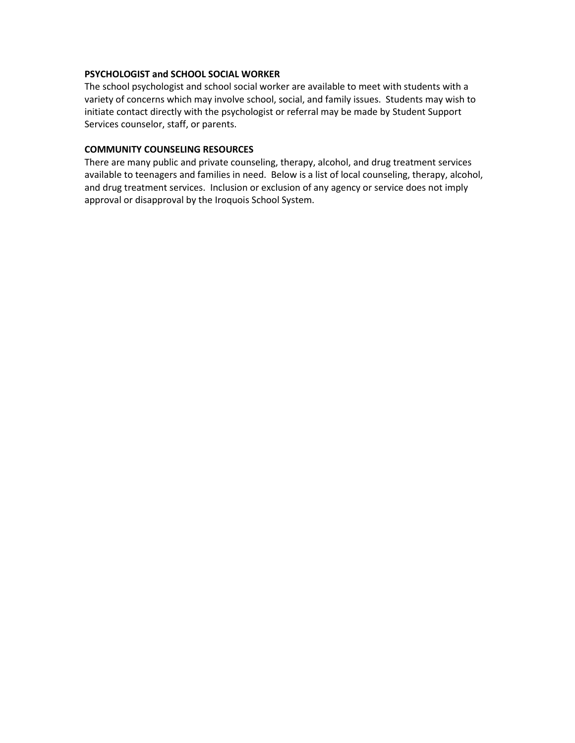#### **PSYCHOLOGIST and SCHOOL SOCIAL WORKER**

The school psychologist and school social worker are available to meet with students with a variety of concerns which may involve school, social, and family issues. Students may wish to initiate contact directly with the psychologist or referral may be made by Student Support Services counselor, staff, or parents.

#### **COMMUNITY COUNSELING RESOURCES**

There are many public and private counseling, therapy, alcohol, and drug treatment services available to teenagers and families in need. Below is a list of local counseling, therapy, alcohol, and drug treatment services. Inclusion or exclusion of any agency or service does not imply approval or disapproval by the Iroquois School System.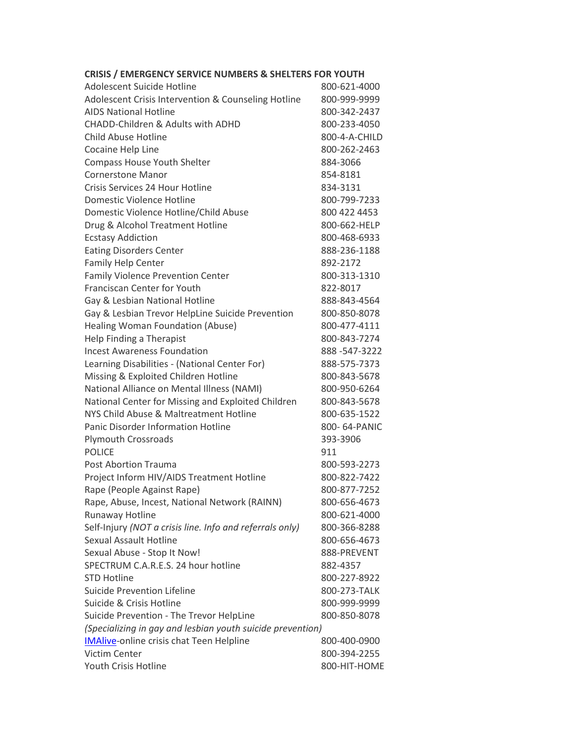# **CRISIS / EMERGENCY SERVICE NUMBERS & SHELTERS FOR YOUTH**

| Adolescent Suicide Hotline                                 | 800-621-4000  |
|------------------------------------------------------------|---------------|
| Adolescent Crisis Intervention & Counseling Hotline        | 800-999-9999  |
| <b>AIDS National Hotline</b>                               | 800-342-2437  |
| <b>CHADD-Children &amp; Adults with ADHD</b>               | 800-233-4050  |
| <b>Child Abuse Hotline</b>                                 | 800-4-A-CHILD |
| Cocaine Help Line                                          | 800-262-2463  |
| <b>Compass House Youth Shelter</b>                         | 884-3066      |
| <b>Cornerstone Manor</b>                                   | 854-8181      |
| Crisis Services 24 Hour Hotline                            | 834-3131      |
| Domestic Violence Hotline                                  | 800-799-7233  |
| Domestic Violence Hotline/Child Abuse                      | 800 422 4453  |
| Drug & Alcohol Treatment Hotline                           | 800-662-HELP  |
| <b>Ecstasy Addiction</b>                                   | 800-468-6933  |
| <b>Eating Disorders Center</b>                             | 888-236-1188  |
| Family Help Center                                         | 892-2172      |
| <b>Family Violence Prevention Center</b>                   | 800-313-1310  |
| Franciscan Center for Youth                                | 822-8017      |
| Gay & Lesbian National Hotline                             | 888-843-4564  |
| Gay & Lesbian Trevor HelpLine Suicide Prevention           | 800-850-8078  |
| Healing Woman Foundation (Abuse)                           | 800-477-4111  |
| Help Finding a Therapist                                   | 800-843-7274  |
| <b>Incest Awareness Foundation</b>                         | 888-547-3222  |
| Learning Disabilities - (National Center For)              | 888-575-7373  |
| Missing & Exploited Children Hotline                       | 800-843-5678  |
| National Alliance on Mental Illness (NAMI)                 | 800-950-6264  |
| National Center for Missing and Exploited Children         | 800-843-5678  |
| NYS Child Abuse & Maltreatment Hotline                     | 800-635-1522  |
| <b>Panic Disorder Information Hotline</b>                  | 800-64-PANIC  |
| <b>Plymouth Crossroads</b>                                 | 393-3906      |
| <b>POLICE</b>                                              | 911           |
| <b>Post Abortion Trauma</b>                                | 800-593-2273  |
| Project Inform HIV/AIDS Treatment Hotline                  | 800-822-7422  |
| Rape (People Against Rape)                                 | 800-877-7252  |
| Rape, Abuse, Incest, National Network (RAINN)              | 800-656-4673  |
| <b>Runaway Hotline</b>                                     | 800-621-4000  |
| Self-Injury (NOT a crisis line. Info and referrals only)   | 800-366-8288  |
| <b>Sexual Assault Hotline</b>                              | 800-656-4673  |
| Sexual Abuse - Stop It Now!                                | 888-PREVENT   |
| SPECTRUM C.A.R.E.S. 24 hour hotline                        | 882-4357      |
| <b>STD Hotline</b>                                         | 800-227-8922  |
| Suicide Prevention Lifeline                                | 800-273-TALK  |
| Suicide & Crisis Hotline                                   | 800-999-9999  |
| Suicide Prevention - The Trevor HelpLine                   | 800-850-8078  |
| (Specializing in gay and lesbian youth suicide prevention) |               |
| <b>IMAlive-online crisis chat Teen Helpline</b>            | 800-400-0900  |
| Victim Center                                              | 800-394-2255  |
| Youth Crisis Hotline                                       | 800-HIT-HOME  |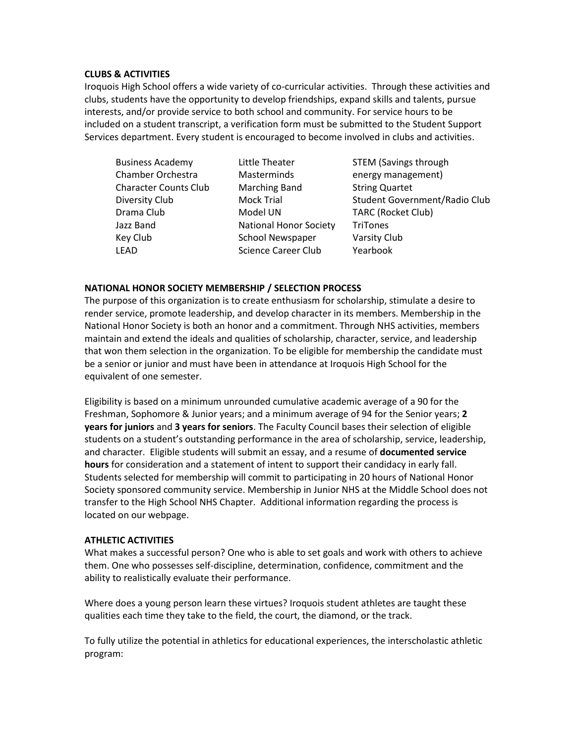#### **CLUBS & ACTIVITIES**

Iroquois High School offers a wide variety of co-curricular activities. Through these activities and clubs, students have the opportunity to develop friendships, expand skills and talents, pursue interests, and/or provide service to both school and community. For service hours to be included on a student transcript, a verification form must be submitted to the Student Support Services department. Every student is encouraged to become involved in clubs and activities.

| <b>Business Academy</b>      | Little Theater                | <b>STEM (Savings through</b>         |
|------------------------------|-------------------------------|--------------------------------------|
| Chamber Orchestra            | Masterminds                   | energy management)                   |
| <b>Character Counts Club</b> | <b>Marching Band</b>          | <b>String Quartet</b>                |
| Diversity Club               | <b>Mock Trial</b>             | <b>Student Government/Radio Club</b> |
| Drama Club                   | Model UN                      | <b>TARC (Rocket Club)</b>            |
| Jazz Band                    | <b>National Honor Society</b> | <b>TriTones</b>                      |
| Key Club                     | <b>School Newspaper</b>       | Varsity Club                         |
| <b>LEAD</b>                  | <b>Science Career Club</b>    | Yearbook                             |

#### **NATIONAL HONOR SOCIETY MEMBERSHIP / SELECTION PROCESS**

The purpose of this organization is to create enthusiasm for scholarship, stimulate a desire to render service, promote leadership, and develop character in its members. Membership in the National Honor Society is both an honor and a commitment. Through NHS activities, members maintain and extend the ideals and qualities of scholarship, character, service, and leadership that won them selection in the organization. To be eligible for membership the candidate must be a senior or junior and must have been in attendance at Iroquois High School for the equivalent of one semester.

Eligibility is based on a minimum unrounded cumulative academic average of a 90 for the Freshman, Sophomore & Junior years; and a minimum average of 94 for the Senior years; **2 years for juniors** and **3 years for seniors**. The Faculty Council bases their selection of eligible students on a student's outstanding performance in the area of scholarship, service, leadership, and character. Eligible students will submit an essay, and a resume of **documented service hours** for consideration and a statement of intent to support their candidacy in early fall. Students selected for membership will commit to participating in 20 hours of National Honor Society sponsored community service. Membership in Junior NHS at the Middle School does not transfer to the High School NHS Chapter. Additional information regarding the process is located on our webpage.

## **ATHLETIC ACTIVITIES**

What makes a successful person? One who is able to set goals and work with others to achieve them. One who possesses self-discipline, determination, confidence, commitment and the ability to realistically evaluate their performance.

Where does a young person learn these virtues? Iroquois student athletes are taught these qualities each time they take to the field, the court, the diamond, or the track.

To fully utilize the potential in athletics for educational experiences, the interscholastic athletic program: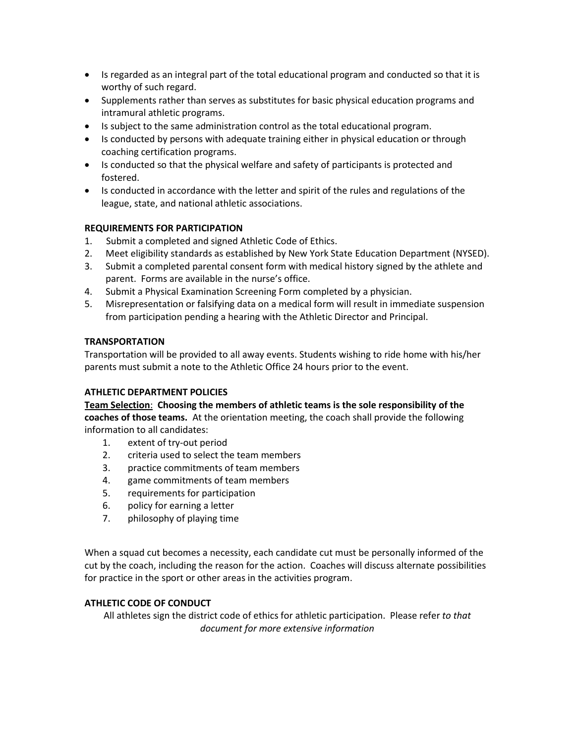- Is regarded as an integral part of the total educational program and conducted so that it is worthy of such regard.
- Supplements rather than serves as substitutes for basic physical education programs and intramural athletic programs.
- Is subject to the same administration control as the total educational program.
- Is conducted by persons with adequate training either in physical education or through coaching certification programs.
- Is conducted so that the physical welfare and safety of participants is protected and fostered.
- Is conducted in accordance with the letter and spirit of the rules and regulations of the league, state, and national athletic associations.

## **REQUIREMENTS FOR PARTICIPATION**

- 1. Submit a completed and signed Athletic Code of Ethics.
- 2. Meet eligibility standards as established by New York State Education Department (NYSED).
- 3. Submit a completed parental consent form with medical history signed by the athlete and parent. Forms are available in the nurse's office.
- 4. Submit a Physical Examination Screening Form completed by a physician.
- 5. Misrepresentation or falsifying data on a medical form will result in immediate suspension from participation pending a hearing with the Athletic Director and Principal.

## **TRANSPORTATION**

Transportation will be provided to all away events. Students wishing to ride home with his/her parents must submit a note to the Athletic Office 24 hours prior to the event.

## **ATHLETIC DEPARTMENT POLICIES**

**Team Selection**: **Choosing the members of athletic teams is the sole responsibility of the coaches of those teams.** At the orientation meeting, the coach shall provide the following information to all candidates:

- 1. extent of try-out period
- 2. criteria used to select the team members
- 3. practice commitments of team members
- 4. game commitments of team members
- 5. requirements for participation
- 6. policy for earning a letter
- 7. philosophy of playing time

When a squad cut becomes a necessity, each candidate cut must be personally informed of the cut by the coach, including the reason for the action. Coaches will discuss alternate possibilities for practice in the sport or other areas in the activities program.

## **ATHLETIC CODE OF CONDUCT**

All athletes sign the district code of ethics for athletic participation. Please refer *to that document for more extensive information*